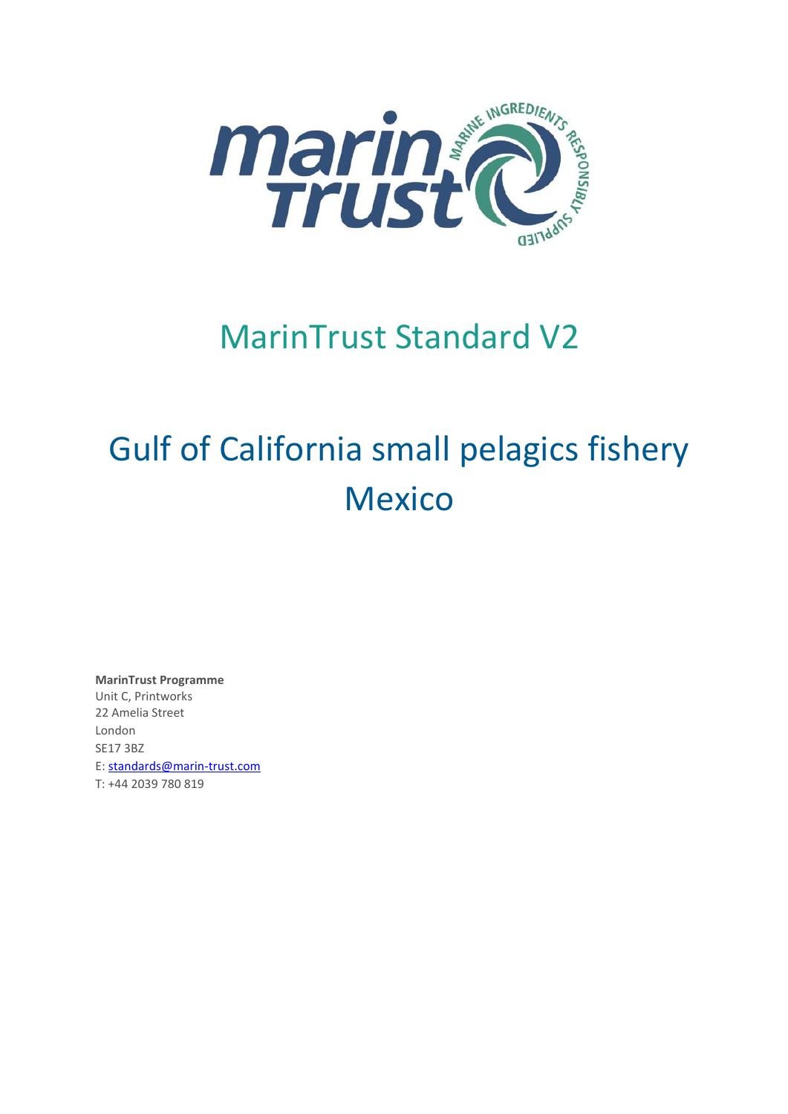

# MarinTrust Standard V2

# Gulf of California small pelagics fishery Mexico

**MarinTrust Programme** Unit C, Printworks 22 Amelia Street London SE17 3BZ E: standards@marin-trust.com T: +44 2039 780 819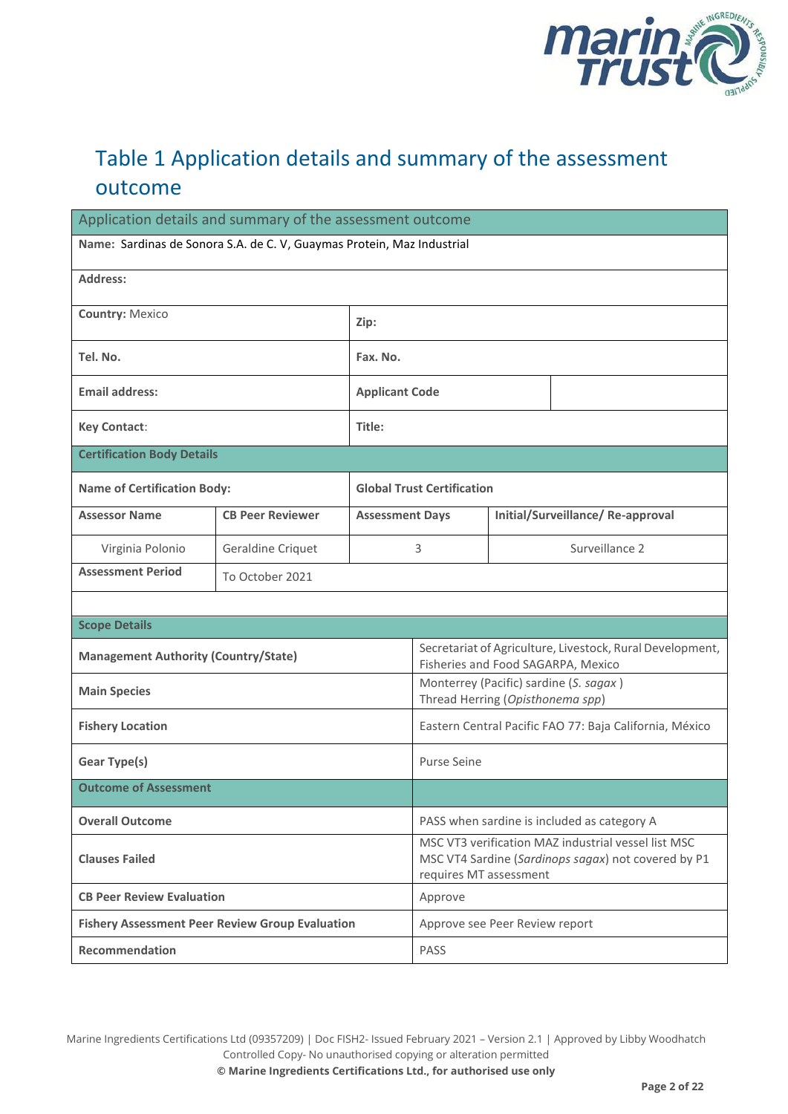

# Table 1 Application details and summary of the assessment outcome

| Application details and summary of the assessment outcome              |                         |                        |                                                                                                                                      |  |                                                                                                 |
|------------------------------------------------------------------------|-------------------------|------------------------|--------------------------------------------------------------------------------------------------------------------------------------|--|-------------------------------------------------------------------------------------------------|
| Name: Sardinas de Sonora S.A. de C. V, Guaymas Protein, Maz Industrial |                         |                        |                                                                                                                                      |  |                                                                                                 |
| Address:                                                               |                         |                        |                                                                                                                                      |  |                                                                                                 |
| <b>Country: Mexico</b>                                                 |                         | Zip:                   |                                                                                                                                      |  |                                                                                                 |
| Tel. No.                                                               |                         | Fax. No.               |                                                                                                                                      |  |                                                                                                 |
| <b>Email address:</b>                                                  |                         | <b>Applicant Code</b>  |                                                                                                                                      |  |                                                                                                 |
| <b>Key Contact:</b>                                                    |                         | Title:                 |                                                                                                                                      |  |                                                                                                 |
| <b>Certification Body Details</b>                                      |                         |                        |                                                                                                                                      |  |                                                                                                 |
| <b>Name of Certification Body:</b>                                     |                         |                        | <b>Global Trust Certification</b>                                                                                                    |  |                                                                                                 |
| <b>Assessor Name</b>                                                   | <b>CB Peer Reviewer</b> | <b>Assessment Days</b> |                                                                                                                                      |  | Initial/Surveillance/Re-approval                                                                |
| Virginia Polonio                                                       | Geraldine Criquet       |                        | 3                                                                                                                                    |  | Surveillance 2                                                                                  |
| <b>Assessment Period</b><br>To October 2021                            |                         |                        |                                                                                                                                      |  |                                                                                                 |
|                                                                        |                         |                        |                                                                                                                                      |  |                                                                                                 |
| <b>Scope Details</b>                                                   |                         |                        |                                                                                                                                      |  |                                                                                                 |
| <b>Management Authority (Country/State)</b>                            |                         |                        |                                                                                                                                      |  | Secretariat of Agriculture, Livestock, Rural Development,<br>Fisheries and Food SAGARPA, Mexico |
| <b>Main Species</b>                                                    |                         |                        | Thread Herring (Opisthonema spp)                                                                                                     |  | Monterrey (Pacific) sardine (S. sagax)                                                          |
| <b>Fishery Location</b>                                                |                         |                        | Eastern Central Pacific FAO 77: Baja California, México                                                                              |  |                                                                                                 |
| <b>Gear Type(s)</b>                                                    |                         |                        | <b>Purse Seine</b>                                                                                                                   |  |                                                                                                 |
| <b>Outcome of Assessment</b>                                           |                         |                        |                                                                                                                                      |  |                                                                                                 |
| <b>Overall Outcome</b>                                                 |                         |                        | PASS when sardine is included as category A                                                                                          |  |                                                                                                 |
| <b>Clauses Failed</b>                                                  |                         |                        | MSC VT3 verification MAZ industrial vessel list MSC<br>MSC VT4 Sardine (Sardinops sagax) not covered by P1<br>requires MT assessment |  |                                                                                                 |
| <b>CB Peer Review Evaluation</b>                                       |                         |                        | Approve                                                                                                                              |  |                                                                                                 |
| <b>Fishery Assessment Peer Review Group Evaluation</b>                 |                         |                        | Approve see Peer Review report                                                                                                       |  |                                                                                                 |
| Recommendation                                                         |                         |                        | <b>PASS</b>                                                                                                                          |  |                                                                                                 |

Marine Ingredients Certifications Ltd (09357209) | Doc FISH2- Issued February 2021 – Version 2.1 | Approved by Libby Woodhatch Controlled Copy- No unauthorised copying or alteration permitted **© Marine Ingredients Certifications Ltd., for authorised use only**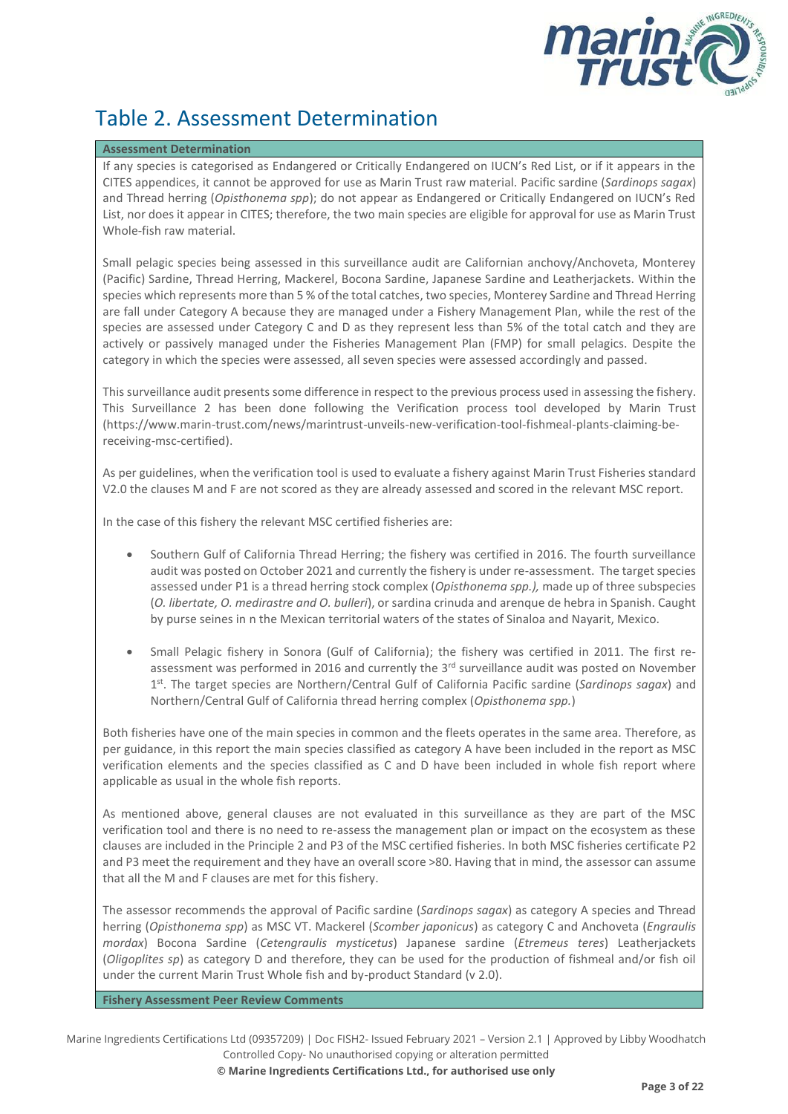

# Table 2. Assessment Determination

#### **Assessment Determination**

If any species is categorised as Endangered or Critically Endangered on IUCN's Red List, or if it appears in the CITES appendices, it cannot be approved for use as Marin Trust raw material. Pacific sardine (*Sardinops sagax*) and Thread herring (*Opisthonema spp*); do not appear as Endangered or Critically Endangered on IUCN's Red List, nor does it appear in CITES; therefore, the two main species are eligible for approval for use as Marin Trust Whole-fish raw material.

Small pelagic species being assessed in this surveillance audit are Californian anchovy/Anchoveta, Monterey (Pacific) Sardine, Thread Herring, Mackerel, Bocona Sardine, Japanese Sardine and Leatherjackets. Within the species which represents more than 5 % of the total catches, two species, Monterey Sardine and Thread Herring are fall under Category A because they are managed under a Fishery Management Plan, while the rest of the species are assessed under Category C and D as they represent less than 5% of the total catch and they are actively or passively managed under the Fisheries Management Plan (FMP) for small pelagics. Despite the category in which the species were assessed, all seven species were assessed accordingly and passed.

This surveillance audit presents some difference in respect to the previous process used in assessing the fishery. This Surveillance 2 has been done following the Verification process tool developed by Marin Trust (https://www.marin-trust.com/news/marintrust-unveils-new-verification-tool-fishmeal-plants-claiming-bereceiving-msc-certified).

As per guidelines, when the verification tool is used to evaluate a fishery against Marin Trust Fisheries standard V2.0 the clauses M and F are not scored as they are already assessed and scored in the relevant MSC report.

In the case of this fishery the relevant MSC certified fisheries are:

- Southern Gulf of California Thread Herring; the fishery was certified in 2016. The fourth surveillance audit was posted on October 2021 and currently the fishery is under re-assessment. The target species assessed under P1 is a thread herring stock complex (*Opisthonema spp.),* made up of three subspecies (*O. libertate, O. medirastre and O. bulleri*), or sardina crinuda and arenque de hebra in Spanish. Caught by purse seines in n the Mexican territorial waters of the states of Sinaloa and Nayarit, Mexico.
- Small Pelagic fishery in Sonora (Gulf of California); the fishery was certified in 2011. The first reassessment was performed in 2016 and currently the  $3<sup>rd</sup>$  surveillance audit was posted on November 1<sup>st</sup>. The target species are Northern/Central Gulf of California Pacific sardine (Sardinops sagax) and Northern/Central Gulf of California thread herring complex (*Opisthonema spp.*)

Both fisheries have one of the main species in common and the fleets operates in the same area. Therefore, as per guidance, in this report the main species classified as category A have been included in the report as MSC verification elements and the species classified as C and D have been included in whole fish report where applicable as usual in the whole fish reports.

As mentioned above, general clauses are not evaluated in this surveillance as they are part of the MSC verification tool and there is no need to re-assess the management plan or impact on the ecosystem as these clauses are included in the Principle 2 and P3 of the MSC certified fisheries. In both MSC fisheries certificate P2 and P3 meet the requirement and they have an overall score >80. Having that in mind, the assessor can assume that all the M and F clauses are met for this fishery.

The assessor recommends the approval of Pacific sardine (*Sardinops sagax*) as category A species and Thread herring (*Opisthonema spp*) as MSC VT. Mackerel (*Scomber japonicus*) as category C and Anchoveta (*Engraulis mordax*) Bocona Sardine (*Cetengraulis mysticetus*) Japanese sardine (*Etremeus teres*) Leatherjackets (*Oligoplites sp*) as category D and therefore, they can be used for the production of fishmeal and/or fish oil under the current Marin Trust Whole fish and by-product Standard (v 2.0).

**Fishery Assessment Peer Review Comments**

Marine Ingredients Certifications Ltd (09357209) | Doc FISH2- Issued February 2021 – Version 2.1 | Approved by Libby Woodhatch Controlled Copy- No unauthorised copying or alteration permitted

**© Marine Ingredients Certifications Ltd., for authorised use only**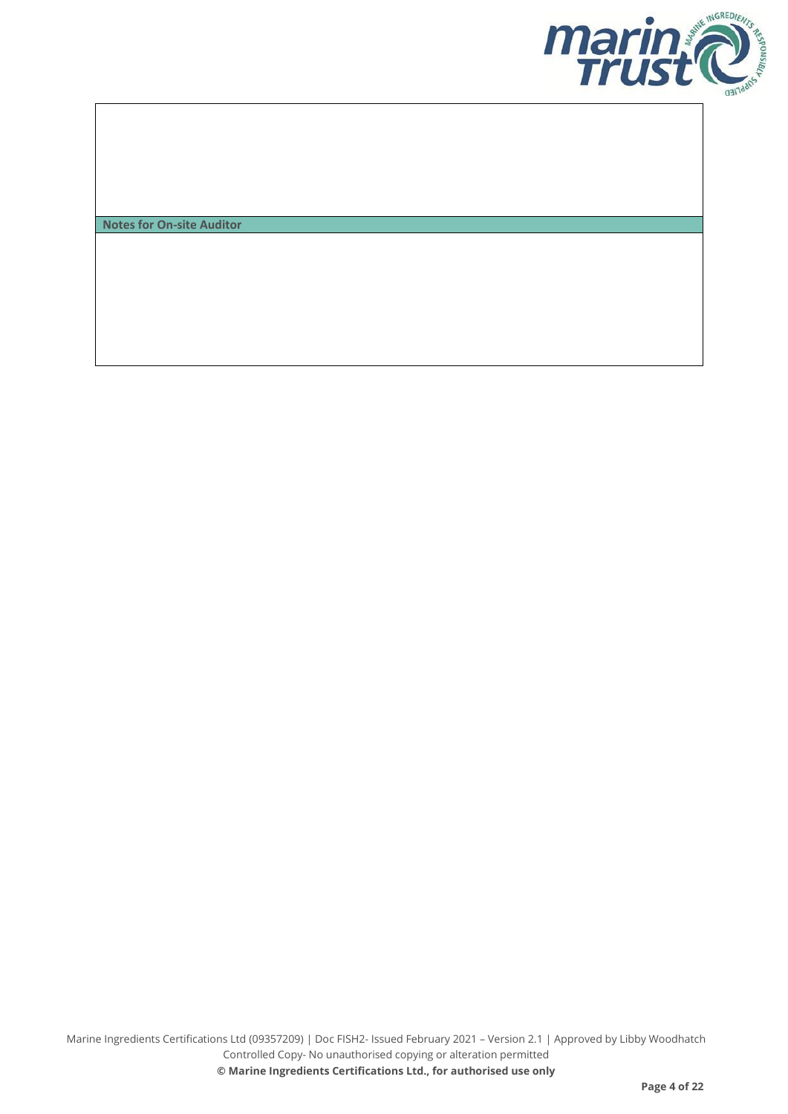

**Notes for On-site Auditor**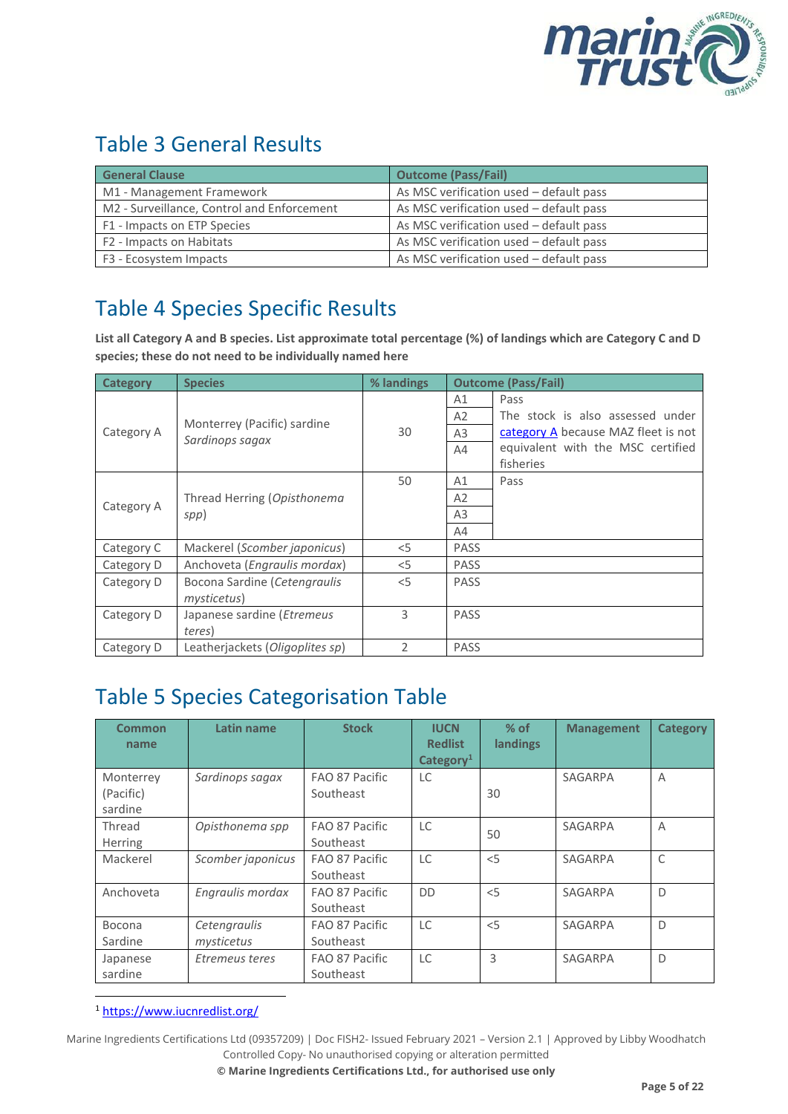

# Table 3 General Results

| <b>General Clause</b>                      | <b>Outcome (Pass/Fail)</b>              |
|--------------------------------------------|-----------------------------------------|
| M1 - Management Framework                  | As MSC verification used - default pass |
| M2 - Surveillance, Control and Enforcement | As MSC verification used - default pass |
| F1 - Impacts on ETP Species                | As MSC verification used - default pass |
| F2 - Impacts on Habitats                   | As MSC verification used - default pass |
| F3 - Ecosystem Impacts                     | As MSC verification used - default pass |

# Table 4 Species Specific Results

**List all Category A and B species. List approximate total percentage (%) of landings which are Category C and D species; these do not need to be individually named here**

| <b>Category</b> | <b>Species</b>                        | % landings |                | <b>Outcome (Pass/Fail)</b>          |
|-----------------|---------------------------------------|------------|----------------|-------------------------------------|
|                 |                                       |            | A1             | Pass                                |
|                 | Monterrey (Pacific) sardine           |            | A2             | The stock is also assessed under    |
| Category A      | Sardinops sagax                       | 30         | A <sub>3</sub> | category A because MAZ fleet is not |
|                 |                                       |            | A4             | equivalent with the MSC certified   |
|                 |                                       |            |                | fisheries                           |
|                 |                                       | 50         | A1             | Pass                                |
| Category A      | Thread Herring (Opisthonema           |            | A <sub>2</sub> |                                     |
|                 | spp)                                  |            | A <sub>3</sub> |                                     |
|                 |                                       |            | A4             |                                     |
| Category C      | Mackerel (Scomber japonicus)          | $<$ 5      | <b>PASS</b>    |                                     |
| Category D      | Anchoveta ( <i>Engraulis mordax</i> ) | $<$ 5      | <b>PASS</b>    |                                     |
| Category D      | Bocona Sardine (Cetengraulis          | $<$ 5      | <b>PASS</b>    |                                     |
|                 | mysticetus)                           |            |                |                                     |
| Category D      | Japanese sardine ( <i>Etremeus</i>    | 3          | <b>PASS</b>    |                                     |
|                 | teres)                                |            |                |                                     |
| Category D      | Leatherjackets (Oligoplites sp)       | 2          | <b>PASS</b>    |                                     |

## Table 5 Species Categorisation Table

| Common<br>name                    | Latin name                 | <b>Stock</b>                | <b>IUCN</b><br><b>Redlist</b><br>Categorical | $%$ of<br>landings | <b>Management</b> | <b>Category</b> |
|-----------------------------------|----------------------------|-----------------------------|----------------------------------------------|--------------------|-------------------|-----------------|
| Monterrey<br>(Pacific)<br>sardine | Sardinops sagax            | FAO 87 Pacific<br>Southeast | LC                                           | 30                 | SAGARPA           | A               |
| Thread<br><b>Herring</b>          | Opisthonema spp            | FAO 87 Pacific<br>Southeast | LC                                           | 50                 | SAGARPA           | A               |
| Mackerel                          | Scomber japonicus          | FAO 87 Pacific<br>Southeast | <b>LC</b>                                    | < 5                | SAGARPA           | C               |
| Anchoveta                         | Engraulis mordax           | FAO 87 Pacific<br>Southeast | <b>DD</b>                                    | < 5                | SAGARPA           | D               |
| Bocona<br>Sardine                 | Cetengraulis<br>mysticetus | FAO 87 Pacific<br>Southeast | LC                                           | < 5                | SAGARPA           | D               |
| Japanese<br>sardine               | Etremeus teres             | FAO 87 Pacific<br>Southeast | LC                                           | 3                  | SAGARPA           | D               |

<sup>1</sup> <https://www.iucnredlist.org/>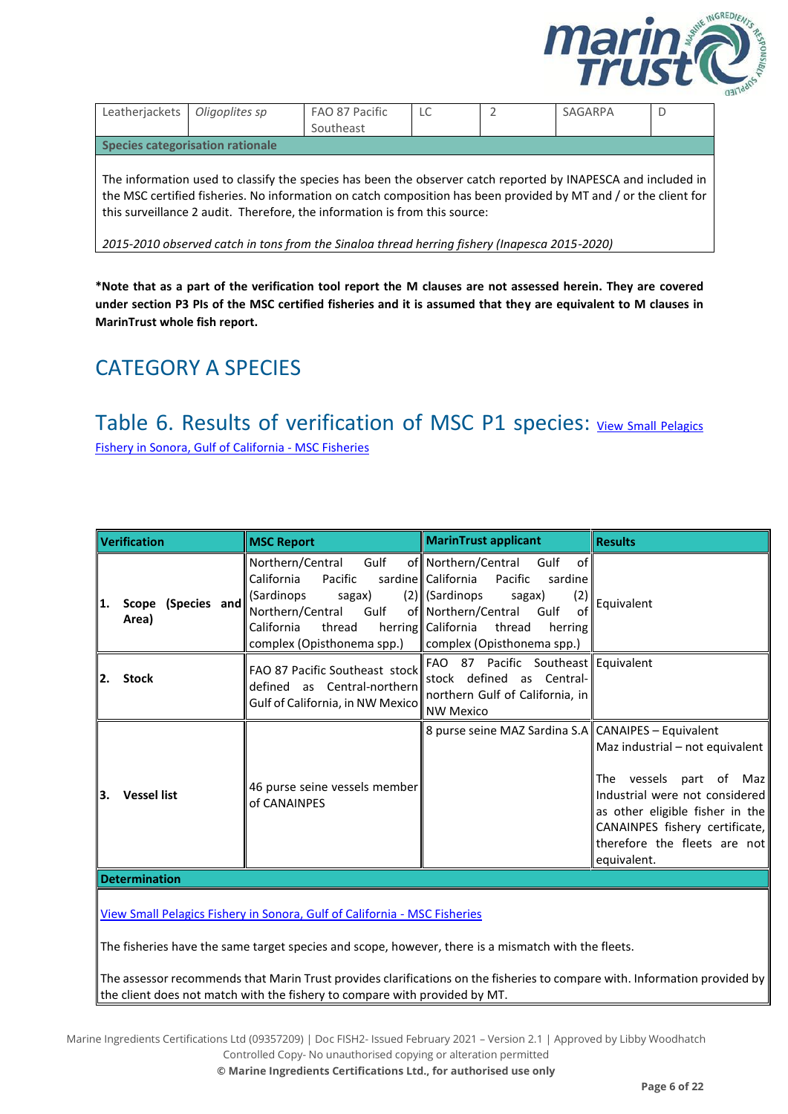

| Leatherjackets                                                                                                                                                                                                                                                                                                  | Oligoplites sp | FAO 87 Pacific<br>Southeast | LC |  | SAGARPA | D |
|-----------------------------------------------------------------------------------------------------------------------------------------------------------------------------------------------------------------------------------------------------------------------------------------------------------------|----------------|-----------------------------|----|--|---------|---|
| Species categorisation rationale                                                                                                                                                                                                                                                                                |                |                             |    |  |         |   |
| The information used to classify the species has been the observer catch reported by INAPESCA and included in<br>the MSC certified fisheries. No information on catch composition has been provided by MT and / or the client for<br>this surveillance 2 audit. Therefore, the information is from this source: |                |                             |    |  |         |   |

*2015-2010 observed catch in tons from the Sinaloa thread herring fishery (Inapesca 2015-2020)*

**\*Note that as a part of the verification tool report the M clauses are not assessed herein. They are covered under section P3 PIs of the MSC certified fisheries and it is assumed that they are equivalent to M clauses in MarinTrust whole fish report.**

# <span id="page-5-0"></span>CATEGORY A SPECIES

# Table 6. Results of verification of MSC P1 species: View Small Pelagics

[Fishery in Sonora, Gulf of California -](https://fisheries.msc.org/en/fisheries/small-pelagics-fishery-in-sonora-gulf-of-california/@@view) MSC Fisheries

| Northern/Central<br>Gulf<br>of Northern/Central Gulf<br>of l<br>Pacific<br>sardine   California<br>California<br>Pacific<br>sardine<br>$(2)$ (Sardinops)<br>(2)<br>(Sardinops<br>sagax)<br>sagax)<br>Equivalent<br>Scope (Species and<br>1.<br>Northern/Central<br>Gulf<br>of Northern/Central Gulf<br>of<br>Area)<br>herring   California thread<br>California<br>thread<br>herring<br>complex (Opisthonema spp.)<br>complex (Opisthonema spp.)<br>FAO 87 Pacific Southeast Equivalent<br>FAO 87 Pacific Southeast stock<br>stock defined as Central-<br><b>Stock</b><br>2.<br>defined as Central-northern<br>northern Gulf of California, in<br>Gulf of California, in NW Mexico<br><b>NW Mexico</b><br>8 purse seine MAZ Sardina S.A CANAIPES - Equivalent<br>46 purse seine vessels member<br><b>Vessel list</b><br>З.<br>of CANAINPES | <b>Verification</b> | <b>MSC Report</b> | <b>MarinTrust applicant</b> | <b>Results</b>                                                                                                                                                                                    |
|--------------------------------------------------------------------------------------------------------------------------------------------------------------------------------------------------------------------------------------------------------------------------------------------------------------------------------------------------------------------------------------------------------------------------------------------------------------------------------------------------------------------------------------------------------------------------------------------------------------------------------------------------------------------------------------------------------------------------------------------------------------------------------------------------------------------------------------------|---------------------|-------------------|-----------------------------|---------------------------------------------------------------------------------------------------------------------------------------------------------------------------------------------------|
|                                                                                                                                                                                                                                                                                                                                                                                                                                                                                                                                                                                                                                                                                                                                                                                                                                            |                     |                   |                             |                                                                                                                                                                                                   |
|                                                                                                                                                                                                                                                                                                                                                                                                                                                                                                                                                                                                                                                                                                                                                                                                                                            |                     |                   |                             |                                                                                                                                                                                                   |
| equivalent.<br><b>Determination</b>                                                                                                                                                                                                                                                                                                                                                                                                                                                                                                                                                                                                                                                                                                                                                                                                        |                     |                   |                             | Maz industrial - not equivalent<br>The vessels part of Maz<br>Industrial were not considered<br>as other eligible fisher in the<br>CANAINPES fishery certificate,<br>therefore the fleets are not |

[View Small Pelagics Fishery in Sonora, Gulf of California -](https://fisheries.msc.org/en/fisheries/small-pelagics-fishery-in-sonora-gulf-of-california/@@view) MSC Fisheries

The fisheries have the same target species and scope, however, there is a mismatch with the fleets.

The assessor recommends that Marin Trust provides clarifications on the fisheries to compare with. Information provided by the client does not match with the fishery to compare with provided by MT.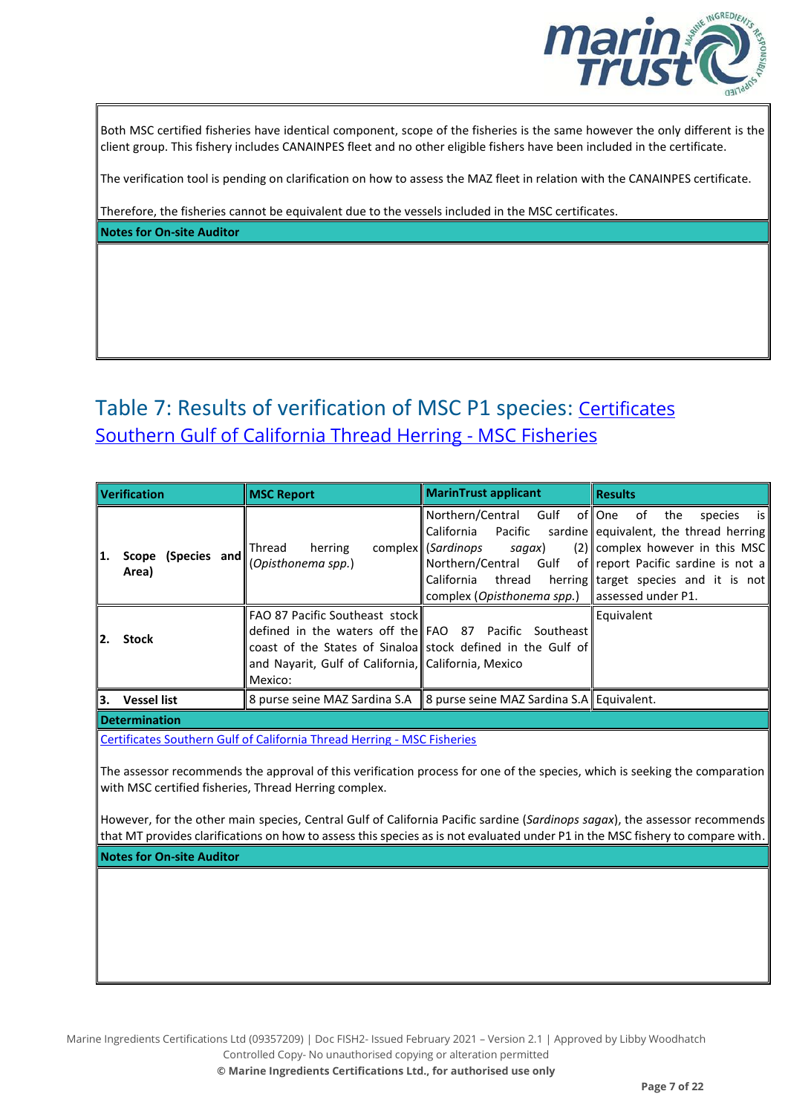

Both MSC certified fisheries have identical component, scope of the fisheries is the same however the only different is the client group. This fishery includes CANAINPES fleet and no other eligible fishers have been included in the certificate.

The verification tool is pending on clarification on how to assess the MAZ fleet in relation with the CANAINPES certificate.

Therefore, the fisheries cannot be equivalent due to the vessels included in the MSC certificates. **Notes for On-site Auditor**

# Table 7: Results of verification of MSC P1 species: Certificates [Southern Gulf of California Thread Herring -](https://fisheries.msc.org/en/fisheries/southern-gulf-of-california-thread-herring/@@certificates) MSC Fisheries

|     | <b>Verification</b>         | <b>MSC Report</b>                                                                                                                                                                                                                 | <b>MarinTrust applicant</b>                                                                                                                                               | <b>I</b> Results                                                                                                                                                                                            |
|-----|-----------------------------|-----------------------------------------------------------------------------------------------------------------------------------------------------------------------------------------------------------------------------------|---------------------------------------------------------------------------------------------------------------------------------------------------------------------------|-------------------------------------------------------------------------------------------------------------------------------------------------------------------------------------------------------------|
| 11. | Scope (Species and<br>Area) | <b>Thread</b><br>herring<br>(Opisthonema spp.)                                                                                                                                                                                    | Northern/Central Gulf of One of<br>California<br>Pacific<br>complex ( <i>Sardinops</i><br>sagax)<br>California thread<br>complex (Opisthonema spp.)    assessed under P1. | the<br>is I<br>species<br>sardine equivalent, the thread herring<br>$(2)$   complex however in this MSC<br>Northern/Central Gulf of report Pacific sardine is not a<br>herring target species and it is not |
| 12. | <b>Stock</b>                | <b>FAO 87 Pacific Southeast stockl</b><br>defined in the waters off the FAO 87 Pacific Southeast<br>coast of the States of Sinaloa stock defined in the Gulf of<br>and Navarit, Gulf of California, California, Mexico<br>Mexico: |                                                                                                                                                                           | Equivalent                                                                                                                                                                                                  |
| l3. | <b>Vessel list</b>          | 8 purse seine MAZ Sardina S.A   8 purse seine MAZ Sardina S.A   Equivalent.                                                                                                                                                       |                                                                                                                                                                           |                                                                                                                                                                                                             |
|     | <b>Datamatashan</b>         |                                                                                                                                                                                                                                   |                                                                                                                                                                           |                                                                                                                                                                                                             |

**Determination**

[Certificates Southern Gulf of California Thread Herring -](https://fisheries.msc.org/en/fisheries/southern-gulf-of-california-thread-herring/@@certificates) MSC Fisheries

The assessor recommends the approval of this verification process for one of the species, which is seeking the comparation with MSC certified fisheries, Thread Herring complex.

However, for the other main species, Central Gulf of California Pacific sardine (*Sardinops sagax*), the assessor recommends that MT provides clarifications on how to assess this species as is not evaluated under P1 in the MSC fishery to compare with.

**Notes for On-site Auditor**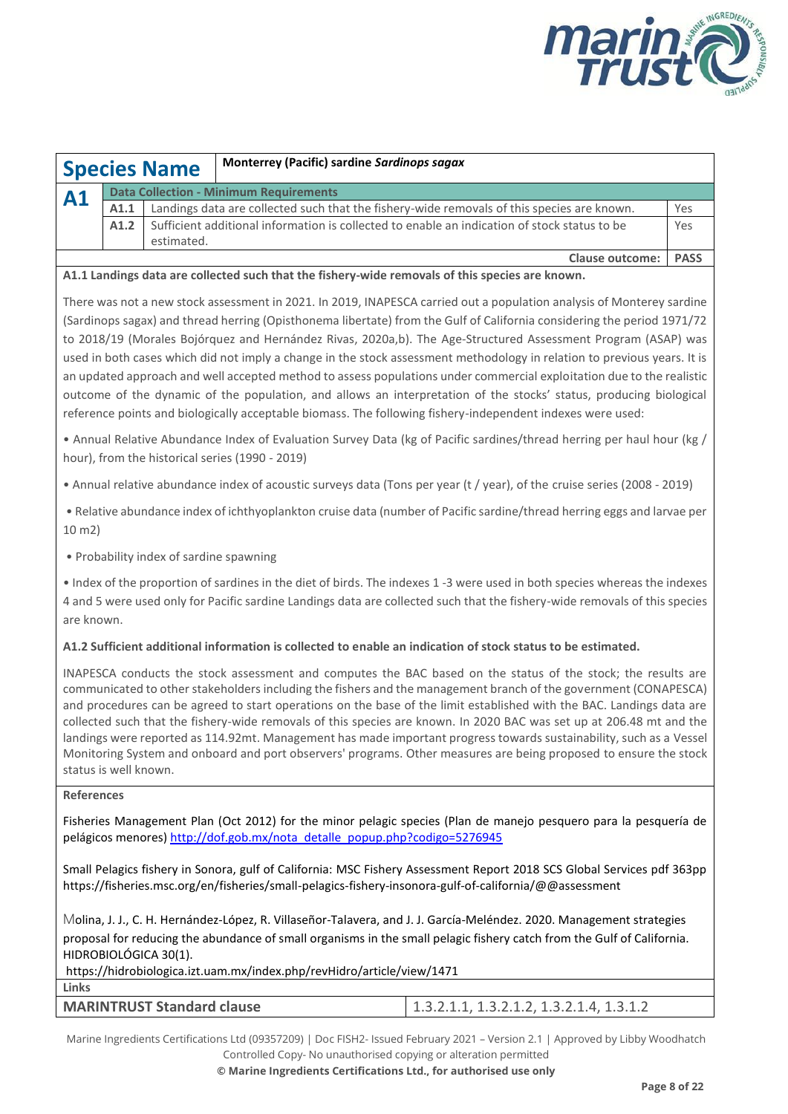

|                                                            |                                                                                                           | <b>Species Name</b> | <b>Monterrey (Pacific) sardine Sardinops sagax</b>                                                                    |             |  |  |
|------------------------------------------------------------|-----------------------------------------------------------------------------------------------------------|---------------------|-----------------------------------------------------------------------------------------------------------------------|-------------|--|--|
| <b>Data Collection - Minimum Requirements</b><br><b>A1</b> |                                                                                                           |                     |                                                                                                                       |             |  |  |
|                                                            | Landings data are collected such that the fishery-wide removals of this species are known.<br>Yes<br>A1.1 |                     |                                                                                                                       |             |  |  |
|                                                            | A1.2                                                                                                      |                     | Sufficient additional information is collected to enable an indication of stock status to be                          | Yes         |  |  |
|                                                            |                                                                                                           | estimated.          |                                                                                                                       |             |  |  |
|                                                            |                                                                                                           |                     | <b>Clause outcome:</b>                                                                                                | <b>PASS</b> |  |  |
|                                                            |                                                                                                           |                     | A1.1 Landings data are collected such that the fishery-wide removals of this species are known.                       |             |  |  |
|                                                            |                                                                                                           |                     | There was not a new stock assessment in 2021. In 2019, INAPESCA carried out a population analysis of Monterey sardine |             |  |  |

(Sardinops sagax) and thread herring (Opisthonema libertate) from the Gulf of California considering the period 1971/72 to 2018/19 (Morales Bojórquez and Hernández Rivas, 2020a,b). The Age-Structured Assessment Program (ASAP) was used in both cases which did not imply a change in the stock assessment methodology in relation to previous years. It is an updated approach and well accepted method to assess populations under commercial exploitation due to the realistic outcome of the dynamic of the population, and allows an interpretation of the stocks' status, producing biological reference points and biologically acceptable biomass. The following fishery-independent indexes were used:

• Annual Relative Abundance Index of Evaluation Survey Data (kg of Pacific sardines/thread herring per haul hour (kg / hour), from the historical series (1990 - 2019)

• Annual relative abundance index of acoustic surveys data (Tons per year (t / year), of the cruise series (2008 - 2019)

• Relative abundance index of ichthyoplankton cruise data (number of Pacific sardine/thread herring eggs and larvae per 10 m2)

• Probability index of sardine spawning

• Index of the proportion of sardines in the diet of birds. The indexes 1 -3 were used in both species whereas the indexes 4 and 5 were used only for Pacific sardine Landings data are collected such that the fishery-wide removals of this species are known.

#### **A1.2 Sufficient additional information is collected to enable an indication of stock status to be estimated.**

INAPESCA conducts the stock assessment and computes the BAC based on the status of the stock; the results are communicated to other stakeholders including the fishers and the management branch of the government (CONAPESCA) and procedures can be agreed to start operations on the base of the limit established with the BAC. Landings data are collected such that the fishery-wide removals of this species are known. In 2020 BAC was set up at 206.48 mt and the landings were reported as 114.92mt. Management has made important progress towards sustainability, such as a Vessel Monitoring System and onboard and port observers' programs. Other measures are being proposed to ensure the stock status is well known.

#### **References**

Fisheries Management Plan (Oct 2012) for the minor pelagic species (Plan de manejo pesquero para la pesquería de pelágicos menores[\) http://dof.gob.mx/nota\\_detalle\\_popup.php?codigo=5276945](http://dof.gob.mx/nota_detalle_popup.php?codigo=5276945)

Small Pelagics fishery in Sonora, gulf of California: MSC Fishery Assessment Report 2018 SCS Global Services pdf 363pp https://fisheries.msc.org/en/fisheries/small-pelagics-fishery-insonora-gulf-of-california/@@assessment

Molina, J. J., C. H. Hernández-López, R. Villaseñor-Talavera, and J. J. García-Meléndez. 2020. Management strategies proposal for reducing the abundance of small organisms in the small pelagic fishery catch from the Gulf of California. HIDROBIOLÓGICA 30(1).

| https://hidrobiologica.izt.uam.mx/index.php/revHidro/article/view/1471 |                                                  |  |  |  |
|------------------------------------------------------------------------|--------------------------------------------------|--|--|--|
| Links                                                                  |                                                  |  |  |  |
| <b>MARINTRUST Standard clause</b>                                      | $\vert$ 1.3.2.1.1, 1.3.2.1.2, 1.3.2.1.4, 1.3.1.2 |  |  |  |
|                                                                        |                                                  |  |  |  |

Marine Ingredients Certifications Ltd (09357209) | Doc FISH2- Issued February 2021 – Version 2.1 | Approved by Libby Woodhatch Controlled Copy- No unauthorised copying or alteration permitted

**© Marine Ingredients Certifications Ltd., for authorised use only**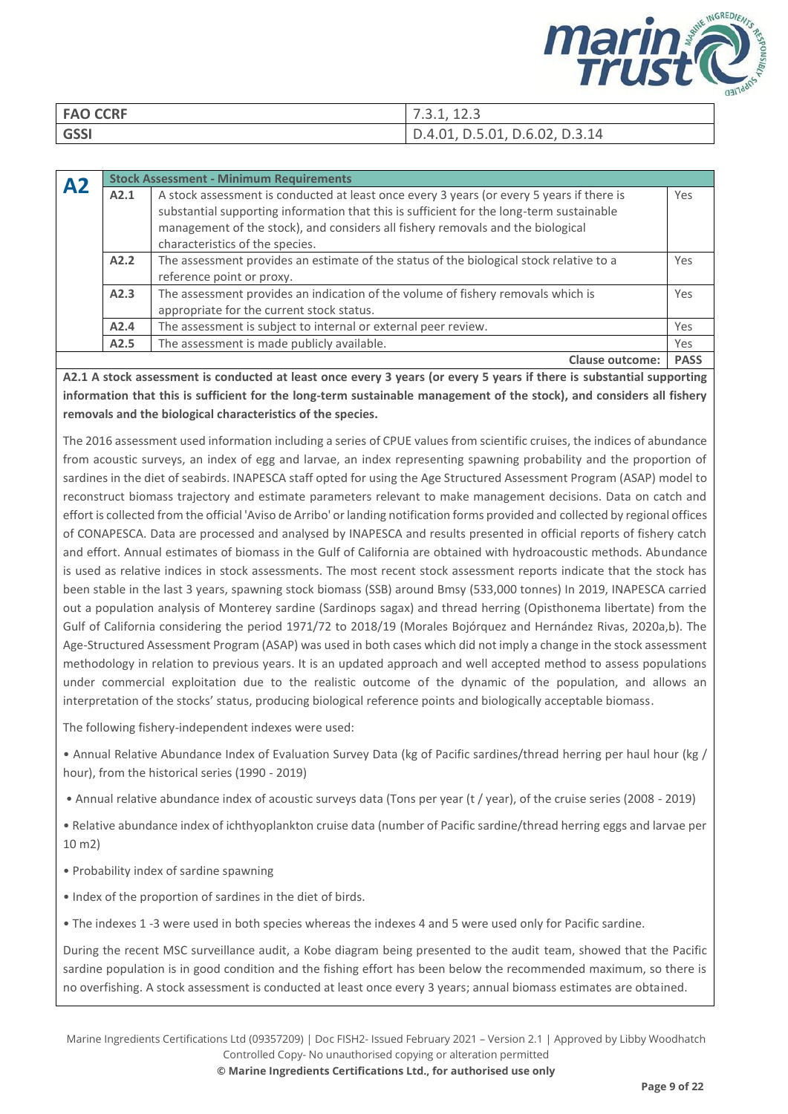

| <b>FAO CCRF</b> | 7.3.1, 12.3                    |
|-----------------|--------------------------------|
| <b>GSSI</b>     | D.4.01, D.5.01, D.6.02, D.3.14 |

| ${\bf A2}$ | <b>Stock Assessment - Minimum Requirements</b> |                                                                                                                                                                                                                                                                                                             |             |  |  |  |  |  |
|------------|------------------------------------------------|-------------------------------------------------------------------------------------------------------------------------------------------------------------------------------------------------------------------------------------------------------------------------------------------------------------|-------------|--|--|--|--|--|
|            | A2.1                                           | A stock assessment is conducted at least once every 3 years (or every 5 years if there is<br>substantial supporting information that this is sufficient for the long-term sustainable<br>management of the stock), and considers all fishery removals and the biological<br>characteristics of the species. | Yes         |  |  |  |  |  |
|            | A2.2                                           | The assessment provides an estimate of the status of the biological stock relative to a<br>reference point or proxy.                                                                                                                                                                                        | Yes         |  |  |  |  |  |
|            | A2.3                                           | The assessment provides an indication of the volume of fishery removals which is<br>appropriate for the current stock status.                                                                                                                                                                               | Yes         |  |  |  |  |  |
|            | A2.4                                           | The assessment is subject to internal or external peer review.                                                                                                                                                                                                                                              | Yes         |  |  |  |  |  |
|            | A2.5                                           | The assessment is made publicly available.                                                                                                                                                                                                                                                                  | Yes         |  |  |  |  |  |
|            |                                                | <b>Clause outcome:</b>                                                                                                                                                                                                                                                                                      | <b>PASS</b> |  |  |  |  |  |

**A2.1 A stock assessment is conducted at least once every 3 years (or every 5 years if there is substantial supporting information that this is sufficient for the long-term sustainable management of the stock), and considers all fishery removals and the biological characteristics of the species.**

The 2016 assessment used information including a series of CPUE values from scientific cruises, the indices of abundance from acoustic surveys, an index of egg and larvae, an index representing spawning probability and the proportion of sardines in the diet of seabirds. INAPESCA staff opted for using the Age Structured Assessment Program (ASAP) model to reconstruct biomass trajectory and estimate parameters relevant to make management decisions. Data on catch and effort is collected from the official 'Aviso de Arribo' or landing notification forms provided and collected by regional offices of CONAPESCA. Data are processed and analysed by INAPESCA and results presented in official reports of fishery catch and effort. Annual estimates of biomass in the Gulf of California are obtained with hydroacoustic methods. Abundance is used as relative indices in stock assessments. The most recent stock assessment reports indicate that the stock has been stable in the last 3 years, spawning stock biomass (SSB) around Bmsy (533,000 tonnes) In 2019, INAPESCA carried out a population analysis of Monterey sardine (Sardinops sagax) and thread herring (Opisthonema libertate) from the Gulf of California considering the period 1971/72 to 2018/19 (Morales Bojórquez and Hernández Rivas, 2020a,b). The Age-Structured Assessment Program (ASAP) was used in both cases which did not imply a change in the stock assessment methodology in relation to previous years. It is an updated approach and well accepted method to assess populations under commercial exploitation due to the realistic outcome of the dynamic of the population, and allows an interpretation of the stocks' status, producing biological reference points and biologically acceptable biomass.

The following fishery-independent indexes were used:

• Annual Relative Abundance Index of Evaluation Survey Data (kg of Pacific sardines/thread herring per haul hour (kg / hour), from the historical series (1990 - 2019)

• Annual relative abundance index of acoustic surveys data (Tons per year (t / year), of the cruise series (2008 - 2019)

• Relative abundance index of ichthyoplankton cruise data (number of Pacific sardine/thread herring eggs and larvae per 10 m2)

- Probability index of sardine spawning
- Index of the proportion of sardines in the diet of birds.

• The indexes 1 -3 were used in both species whereas the indexes 4 and 5 were used only for Pacific sardine.

During the recent MSC surveillance audit, a Kobe diagram being presented to the audit team, showed that the Pacific sardine population is in good condition and the fishing effort has been below the recommended maximum, so there is no overfishing. A stock assessment is conducted at least once every 3 years; annual biomass estimates are obtained.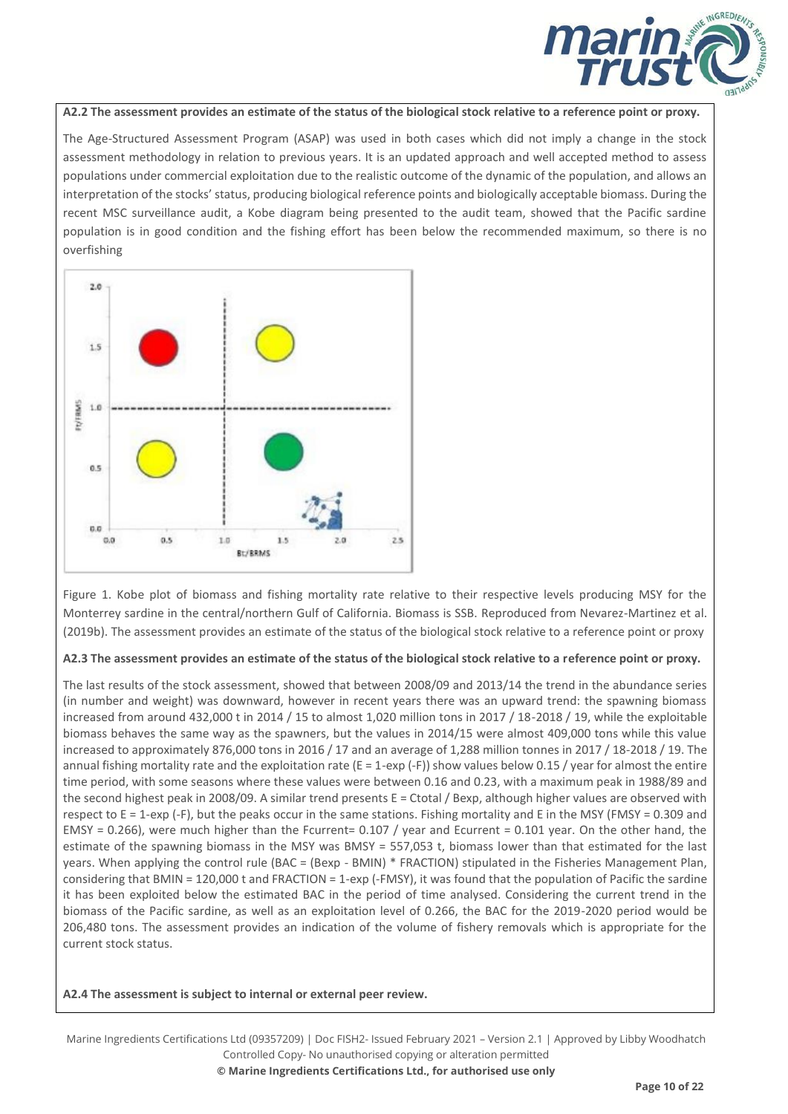

#### **A2.2 The assessment provides an estimate of the status of the biological stock relative to a reference point or proxy.**

The Age-Structured Assessment Program (ASAP) was used in both cases which did not imply a change in the stock assessment methodology in relation to previous years. It is an updated approach and well accepted method to assess populations under commercial exploitation due to the realistic outcome of the dynamic of the population, and allows an interpretation of the stocks' status, producing biological reference points and biologically acceptable biomass. During the recent MSC surveillance audit, a Kobe diagram being presented to the audit team, showed that the Pacific sardine population is in good condition and the fishing effort has been below the recommended maximum, so there is no overfishing



Figure 1. Kobe plot of biomass and fishing mortality rate relative to their respective levels producing MSY for the Monterrey sardine in the central/northern Gulf of California. Biomass is SSB. Reproduced from Nevarez-Martinez et al. (2019b). The assessment provides an estimate of the status of the biological stock relative to a reference point or proxy

#### **A2.3 The assessment provides an estimate of the status of the biological stock relative to a reference point or proxy.**

The last results of the stock assessment, showed that between 2008/09 and 2013/14 the trend in the abundance series (in number and weight) was downward, however in recent years there was an upward trend: the spawning biomass increased from around 432,000 t in 2014 / 15 to almost 1,020 million tons in 2017 / 18-2018 / 19, while the exploitable biomass behaves the same way as the spawners, but the values in 2014/15 were almost 409,000 tons while this value increased to approximately 876,000 tons in 2016 / 17 and an average of 1,288 million tonnes in 2017 / 18-2018 / 19. The annual fishing mortality rate and the exploitation rate ( $E = 1$ -exp (-F)) show values below 0.15 / year for almost the entire time period, with some seasons where these values were between 0.16 and 0.23, with a maximum peak in 1988/89 and the second highest peak in 2008/09. A similar trend presents E = Ctotal / Bexp, although higher values are observed with respect to E = 1-exp (-F), but the peaks occur in the same stations. Fishing mortality and E in the MSY (FMSY = 0.309 and EMSY = 0.266), were much higher than the Fcurrent= 0.107 / year and Ecurrent = 0.101 year. On the other hand, the estimate of the spawning biomass in the MSY was BMSY = 557,053 t, biomass lower than that estimated for the last years. When applying the control rule (BAC = (Bexp - BMIN) \* FRACTION) stipulated in the Fisheries Management Plan, considering that BMIN = 120,000 t and FRACTION = 1-exp (-FMSY), it was found that the population of Pacific the sardine it has been exploited below the estimated BAC in the period of time analysed. Considering the current trend in the biomass of the Pacific sardine, as well as an exploitation level of 0.266, the BAC for the 2019-2020 period would be 206,480 tons. The assessment provides an indication of the volume of fishery removals which is appropriate for the current stock status.

**A2.4 The assessment is subject to internal or external peer review.**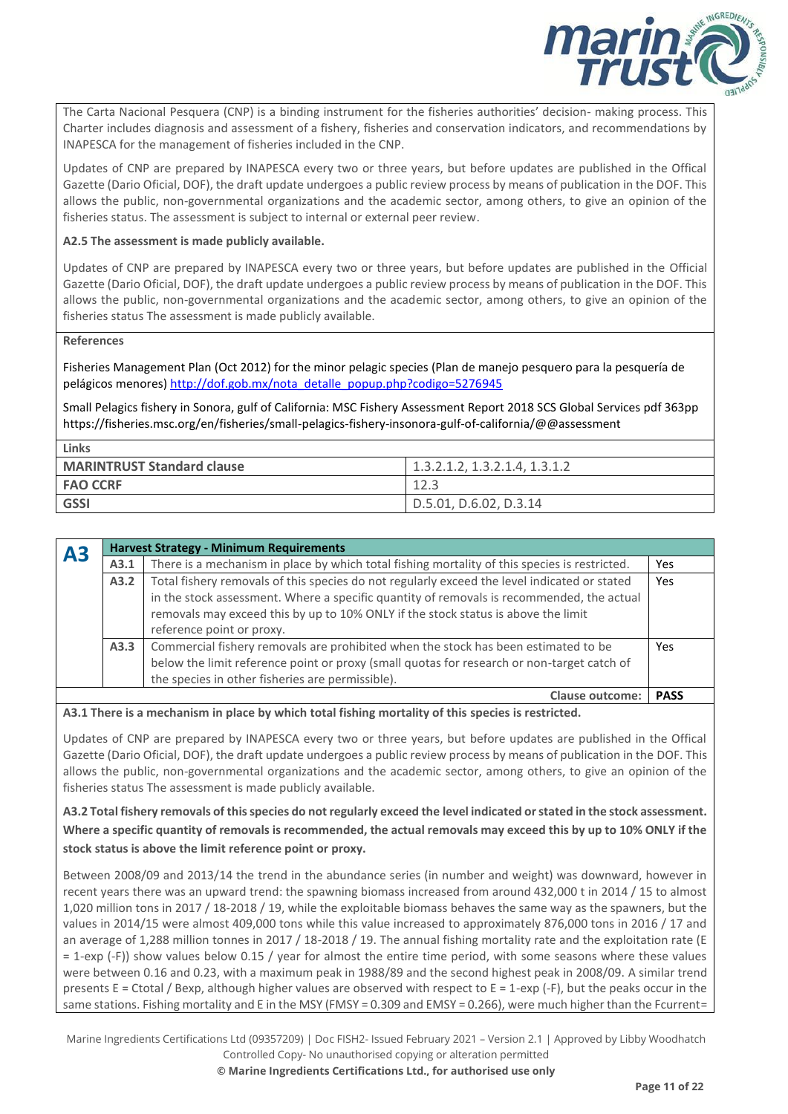

The Carta Nacional Pesquera (CNP) is a binding instrument for the fisheries authorities' decision- making process. This Charter includes diagnosis and assessment of a fishery, fisheries and conservation indicators, and recommendations by INAPESCA for the management of fisheries included in the CNP.

Updates of CNP are prepared by INAPESCA every two or three years, but before updates are published in the Offical Gazette (Dario Oficial, DOF), the draft update undergoes a public review process by means of publication in the DOF. This allows the public, non-governmental organizations and the academic sector, among others, to give an opinion of the fisheries status. The assessment is subject to internal or external peer review.

#### **A2.5 The assessment is made publicly available.**

Updates of CNP are prepared by INAPESCA every two or three years, but before updates are published in the Official Gazette (Dario Oficial, DOF), the draft update undergoes a public review process by means of publication in the DOF. This allows the public, non-governmental organizations and the academic sector, among others, to give an opinion of the fisheries status The assessment is made publicly available.

#### **References**

Fisheries Management Plan (Oct 2012) for the minor pelagic species (Plan de manejo pesquero para la pesquería de pelágicos menores[\) http://dof.gob.mx/nota\\_detalle\\_popup.php?codigo=5276945](http://dof.gob.mx/nota_detalle_popup.php?codigo=5276945)

Small Pelagics fishery in Sonora, gulf of California: MSC Fishery Assessment Report 2018 SCS Global Services pdf 363pp https://fisheries.msc.org/en/fisheries/small-pelagics-fishery-insonora-gulf-of-california/@@assessment

| Links                             |                               |
|-----------------------------------|-------------------------------|
| <b>MARINTRUST Standard clause</b> | 1.3.2.1.2. 1.3.2.1.4. 1.3.1.2 |
| <b>FAO CCRF</b>                   |                               |
| <b>GSSI</b>                       | D.5.01, D.6.02, D.3.14        |

| A3 |                                                                                                      | <b>Harvest Strategy - Minimum Requirements</b>                                                |             |  |  |
|----|------------------------------------------------------------------------------------------------------|-----------------------------------------------------------------------------------------------|-------------|--|--|
|    | A3.1                                                                                                 | There is a mechanism in place by which total fishing mortality of this species is restricted. | Yes         |  |  |
|    | Total fishery removals of this species do not regularly exceed the level indicated or stated<br>A3.2 |                                                                                               |             |  |  |
|    |                                                                                                      | in the stock assessment. Where a specific quantity of removals is recommended, the actual     |             |  |  |
|    | removals may exceed this by up to 10% ONLY if the stock status is above the limit                    |                                                                                               |             |  |  |
|    | reference point or proxy.                                                                            |                                                                                               |             |  |  |
|    | Commercial fishery removals are prohibited when the stock has been estimated to be<br>A3.3           |                                                                                               |             |  |  |
|    | below the limit reference point or proxy (small quotas for research or non-target catch of           |                                                                                               |             |  |  |
|    |                                                                                                      | the species in other fisheries are permissible).                                              |             |  |  |
|    |                                                                                                      | <b>Clause outcome:</b>                                                                        | <b>PASS</b> |  |  |

**A3.1 There is a mechanism in place by which total fishing mortality of this species is restricted.**

Updates of CNP are prepared by INAPESCA every two or three years, but before updates are published in the Offical Gazette (Dario Oficial, DOF), the draft update undergoes a public review process by means of publication in the DOF. This allows the public, non-governmental organizations and the academic sector, among others, to give an opinion of the fisheries status The assessment is made publicly available.

**A3.2 Total fishery removals of this species do not regularly exceed the level indicated or stated in the stock assessment. Where a specific quantity of removals is recommended, the actual removals may exceed this by up to 10% ONLY if the stock status is above the limit reference point or proxy.**

Between 2008/09 and 2013/14 the trend in the abundance series (in number and weight) was downward, however in recent years there was an upward trend: the spawning biomass increased from around 432,000 t in 2014 / 15 to almost 1,020 million tons in 2017 / 18-2018 / 19, while the exploitable biomass behaves the same way as the spawners, but the values in 2014/15 were almost 409,000 tons while this value increased to approximately 876,000 tons in 2016 / 17 and an average of 1,288 million tonnes in 2017 / 18-2018 / 19. The annual fishing mortality rate and the exploitation rate (E = 1-exp (-F)) show values below 0.15 / year for almost the entire time period, with some seasons where these values were between 0.16 and 0.23, with a maximum peak in 1988/89 and the second highest peak in 2008/09. A similar trend presents  $E = Ctotal / Bexp$ , although higher values are observed with respect to  $E = 1$ -exp (-F), but the peaks occur in the same stations. Fishing mortality and E in the MSY (FMSY = 0.309 and EMSY = 0.266), were much higher than the Fcurrent=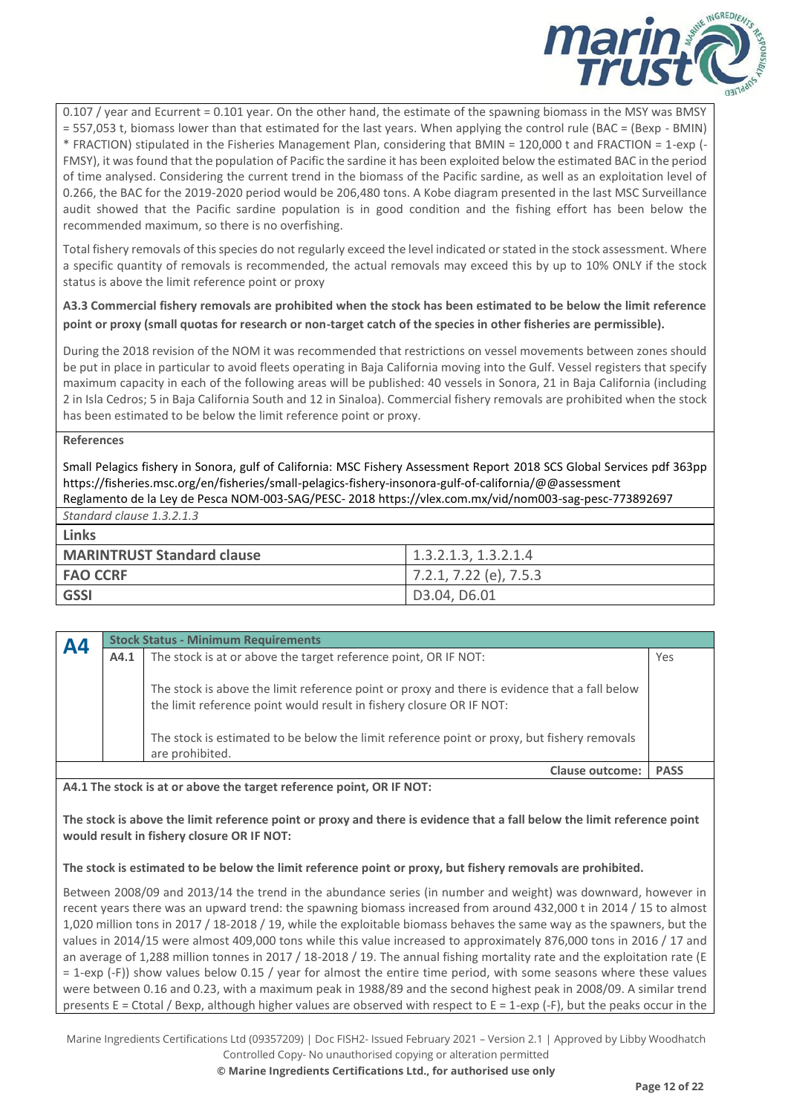

0.107 / year and Ecurrent = 0.101 year. On the other hand, the estimate of the spawning biomass in the MSY was BMSY = 557,053 t, biomass lower than that estimated for the last years. When applying the control rule (BAC = (Bexp - BMIN) \* FRACTION) stipulated in the Fisheries Management Plan, considering that BMIN = 120,000 t and FRACTION = 1-exp (- FMSY), it was found that the population of Pacific the sardine it has been exploited below the estimated BAC in the period of time analysed. Considering the current trend in the biomass of the Pacific sardine, as well as an exploitation level of 0.266, the BAC for the 2019-2020 period would be 206,480 tons. A Kobe diagram presented in the last MSC Surveillance audit showed that the Pacific sardine population is in good condition and the fishing effort has been below the recommended maximum, so there is no overfishing.

Total fishery removals of this species do not regularly exceed the level indicated or stated in the stock assessment. Where a specific quantity of removals is recommended, the actual removals may exceed this by up to 10% ONLY if the stock status is above the limit reference point or proxy

**A3.3 Commercial fishery removals are prohibited when the stock has been estimated to be below the limit reference point or proxy (small quotas for research or non-target catch of the species in other fisheries are permissible).**

During the 2018 revision of the NOM it was recommended that restrictions on vessel movements between zones should be put in place in particular to avoid fleets operating in Baja California moving into the Gulf. Vessel registers that specify maximum capacity in each of the following areas will be published: 40 vessels in Sonora, 21 in Baja California (including 2 in Isla Cedros; 5 in Baja California South and 12 in Sinaloa). Commercial fishery removals are prohibited when the stock has been estimated to be below the limit reference point or proxy.

#### **References**

Small Pelagics fishery in Sonora, gulf of California: MSC Fishery Assessment Report 2018 SCS Global Services pdf 363pp https://fisheries.msc.org/en/fisheries/small-pelagics-fishery-insonora-gulf-of-california/@@assessment Reglamento de la Ley de Pesca NOM-003-SAG/PESC- 2018 https://vlex.com.mx/vid/nom003-sag-pesc-773892697

*Standard clause 1.3.2.1.3*

|  | ۰. |
|--|----|

| <b>MARINTRUST Standard clause</b> | 1.3.2.1.3, 1.3.2.1.4       |
|-----------------------------------|----------------------------|
| <b>FAO CCRF</b>                   | $7.2.1, 7.22$ (e), $7.5.3$ |
| <b>GSSI</b>                       | D3.04, D6.01               |

| <b>A4</b> | <b>Stock Status - Minimum Requirements</b> |                                                                                                                                                                       |             |  |  |
|-----------|--------------------------------------------|-----------------------------------------------------------------------------------------------------------------------------------------------------------------------|-------------|--|--|
|           | A4.1                                       | The stock is at or above the target reference point, OR IF NOT:                                                                                                       | Yes         |  |  |
|           |                                            | The stock is above the limit reference point or proxy and there is evidence that a fall below<br>the limit reference point would result in fishery closure OR IF NOT: |             |  |  |
|           |                                            | The stock is estimated to be below the limit reference point or proxy, but fishery removals<br>are prohibited.                                                        |             |  |  |
|           |                                            | Clause outcome:                                                                                                                                                       | <b>PASS</b> |  |  |

**A4.1 The stock is at or above the target reference point, OR IF NOT:**

**The stock is above the limit reference point or proxy and there is evidence that a fall below the limit reference point would result in fishery closure OR IF NOT:**

**The stock is estimated to be below the limit reference point or proxy, but fishery removals are prohibited.**

Between 2008/09 and 2013/14 the trend in the abundance series (in number and weight) was downward, however in recent years there was an upward trend: the spawning biomass increased from around 432,000 t in 2014 / 15 to almost 1,020 million tons in 2017 / 18-2018 / 19, while the exploitable biomass behaves the same way as the spawners, but the values in 2014/15 were almost 409,000 tons while this value increased to approximately 876,000 tons in 2016 / 17 and an average of 1,288 million tonnes in 2017 / 18-2018 / 19. The annual fishing mortality rate and the exploitation rate (E = 1-exp (-F)) show values below 0.15 / year for almost the entire time period, with some seasons where these values were between 0.16 and 0.23, with a maximum peak in 1988/89 and the second highest peak in 2008/09. A similar trend presents  $E = Ctotal / Bexp$ , although higher values are observed with respect to  $E = 1$ -exp (-F), but the peaks occur in the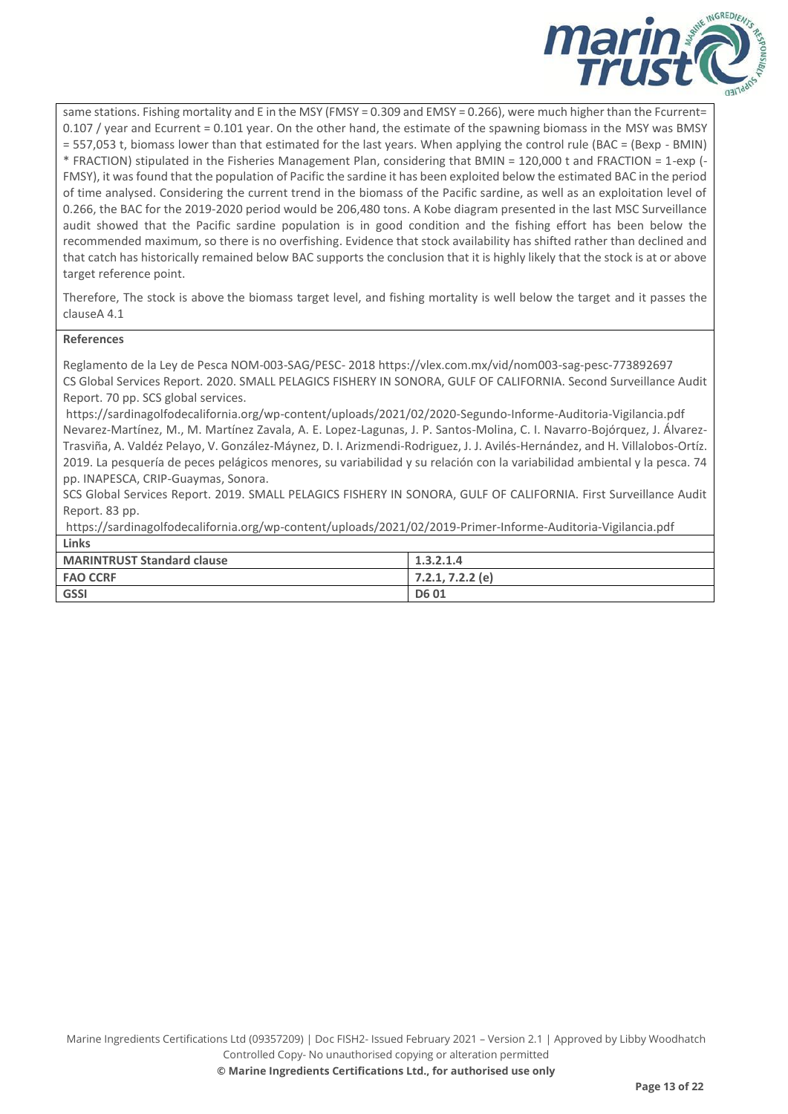

same stations. Fishing mortality and E in the MSY (FMSY = 0.309 and EMSY = 0.266), were much higher than the Fcurrent= 0.107 / year and Ecurrent = 0.101 year. On the other hand, the estimate of the spawning biomass in the MSY was BMSY = 557,053 t, biomass lower than that estimated for the last years. When applying the control rule (BAC = (Bexp - BMIN) \* FRACTION) stipulated in the Fisheries Management Plan, considering that BMIN = 120,000 t and FRACTION = 1-exp (- FMSY), it was found that the population of Pacific the sardine it has been exploited below the estimated BAC in the period of time analysed. Considering the current trend in the biomass of the Pacific sardine, as well as an exploitation level of 0.266, the BAC for the 2019-2020 period would be 206,480 tons. A Kobe diagram presented in the last MSC Surveillance audit showed that the Pacific sardine population is in good condition and the fishing effort has been below the recommended maximum, so there is no overfishing. Evidence that stock availability has shifted rather than declined and that catch has historically remained below BAC supports the conclusion that it is highly likely that the stock is at or above target reference point.

Therefore, The stock is above the biomass target level, and fishing mortality is well below the target and it passes the clauseA 4.1

#### **References**

Reglamento de la Ley de Pesca NOM-003-SAG/PESC- 2018 https://vlex.com.mx/vid/nom003-sag-pesc-773892697 CS Global Services Report. 2020. SMALL PELAGICS FISHERY IN SONORA, GULF OF CALIFORNIA. Second Surveillance Audit Report. 70 pp. SCS global services.

<https://sardinagolfodecalifornia.org/wp-content/uploads/2021/02/2020-Segundo-Informe-Auditoria-Vigilancia.pdf> Nevarez-Martínez, M., M. Martínez Zavala, A. E. Lopez-Lagunas, J. P. Santos-Molina, C. I. Navarro-Bojórquez, J. Álvarez-Trasviña, A. Valdéz Pelayo, V. González-Máynez, D. I. Arizmendi-Rodriguez, J. J. Avilés-Hernández, and H. Villalobos-Ortíz. 2019. La pesquería de peces pelágicos menores, su variabilidad y su relación con la variabilidad ambiental y la pesca. 74 pp. INAPESCA, CRIP-Guaymas, Sonora.

SCS Global Services Report. 2019. SMALL PELAGICS FISHERY IN SONORA, GULF OF CALIFORNIA. First Surveillance Audit Report. 83 pp.

<https://sardinagolfodecalifornia.org/wp-content/uploads/2021/02/2019-Primer-Informe-Auditoria-Vigilancia.pdf> **Links**

| <b>MARINTRUST Standard clause</b> | 1.3.2.1.4          |
|-----------------------------------|--------------------|
| <b>FAO CCRF</b>                   | $7.2.1, 7.2.2$ (e) |
| <b>GSSI</b>                       | <b>D601</b>        |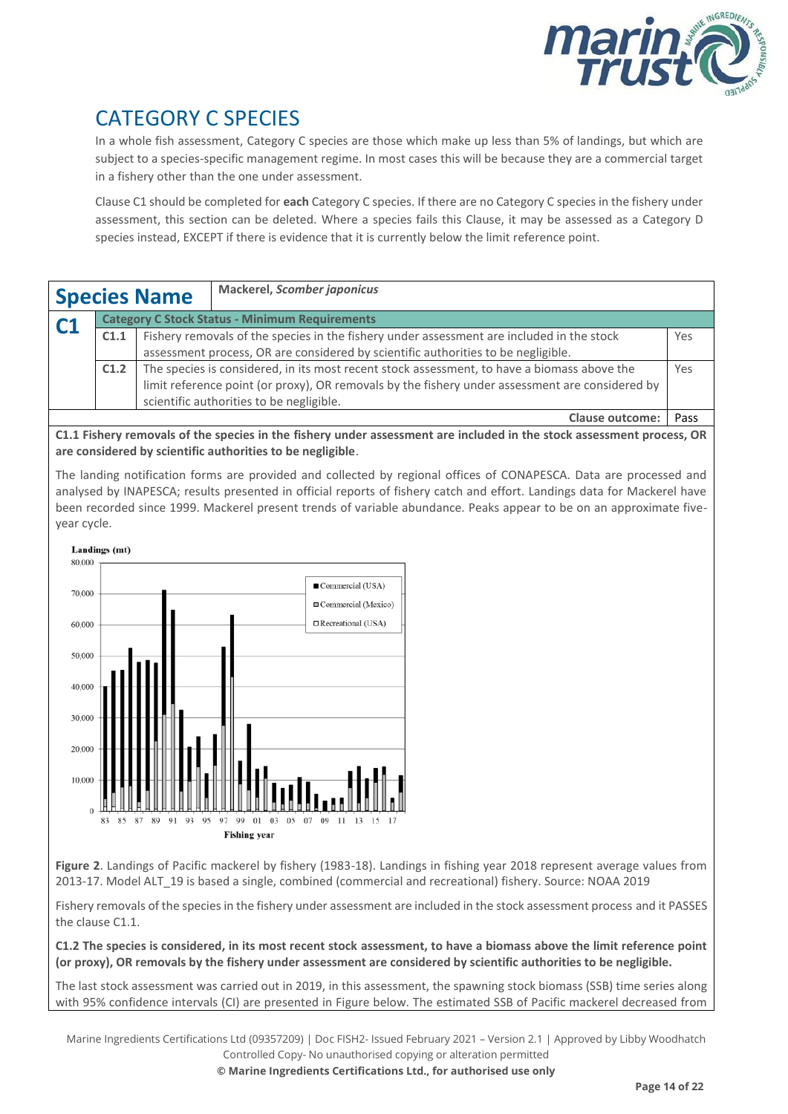

# CATEGORY C SPECIES

In a whole fish assessment, Category C species are those which make up less than 5% of landings, but which are subject to a species-specific management regime. In most cases this will be because they are a commercial target in a fishery other than the one under assessment.

Clause C1 should be completed for **each** Category C species. If there are no Category C species in the fishery under assessment, this section can be deleted. Where a species fails this Clause, it may be assessed as a Category D species instead, EXCEPT if there is evidence that it is currently below the limit reference point.

| <b>Species Name</b>                                         |                                                                                                            |  | <b>Mackerel, Scomber japonicus</b>                                                        |      |  |
|-------------------------------------------------------------|------------------------------------------------------------------------------------------------------------|--|-------------------------------------------------------------------------------------------|------|--|
| <b>Category C Stock Status - Minimum Requirements</b><br>C1 |                                                                                                            |  |                                                                                           |      |  |
|                                                             | C <sub>1.1</sub>                                                                                           |  | Fishery removals of the species in the fishery under assessment are included in the stock | Yes  |  |
|                                                             | assessment process, OR are considered by scientific authorities to be negligible.                          |  |                                                                                           |      |  |
|                                                             | The species is considered, in its most recent stock assessment, to have a biomass above the<br>C1.2<br>Yes |  |                                                                                           |      |  |
|                                                             | limit reference point (or proxy), OR removals by the fishery under assessment are considered by            |  |                                                                                           |      |  |
|                                                             | scientific authorities to be negligible.                                                                   |  |                                                                                           |      |  |
|                                                             |                                                                                                            |  | <b>Clause outcome:</b>                                                                    | Pass |  |

**C1.1 Fishery removals of the species in the fishery under assessment are included in the stock assessment process, OR are considered by scientific authorities to be negligible**.

The landing notification forms are provided and collected by regional offices of CONAPESCA. Data are processed and analysed by INAPESCA; results presented in official reports of fishery catch and effort. Landings data for Mackerel have been recorded since 1999. Mackerel present trends of variable abundance. Peaks appear to be on an approximate fiveyear cycle.



**Figure 2**. Landings of Pacific mackerel by fishery (1983-18). Landings in fishing year 2018 represent average values from 2013-17. Model ALT\_19 is based a single, combined (commercial and recreational) fishery. Source: NOAA 2019

Fishery removals of the species in the fishery under assessment are included in the stock assessment process and it PASSES the clause C1.1.

**C1.2 The species is considered, in its most recent stock assessment, to have a biomass above the limit reference point (or proxy), OR removals by the fishery under assessment are considered by scientific authorities to be negligible.**

The last stock assessment was carried out in 2019, in this assessment, the spawning stock biomass (SSB) time series along with 95% confidence intervals (CI) are presented in Figure below. The estimated SSB of Pacific mackerel decreased from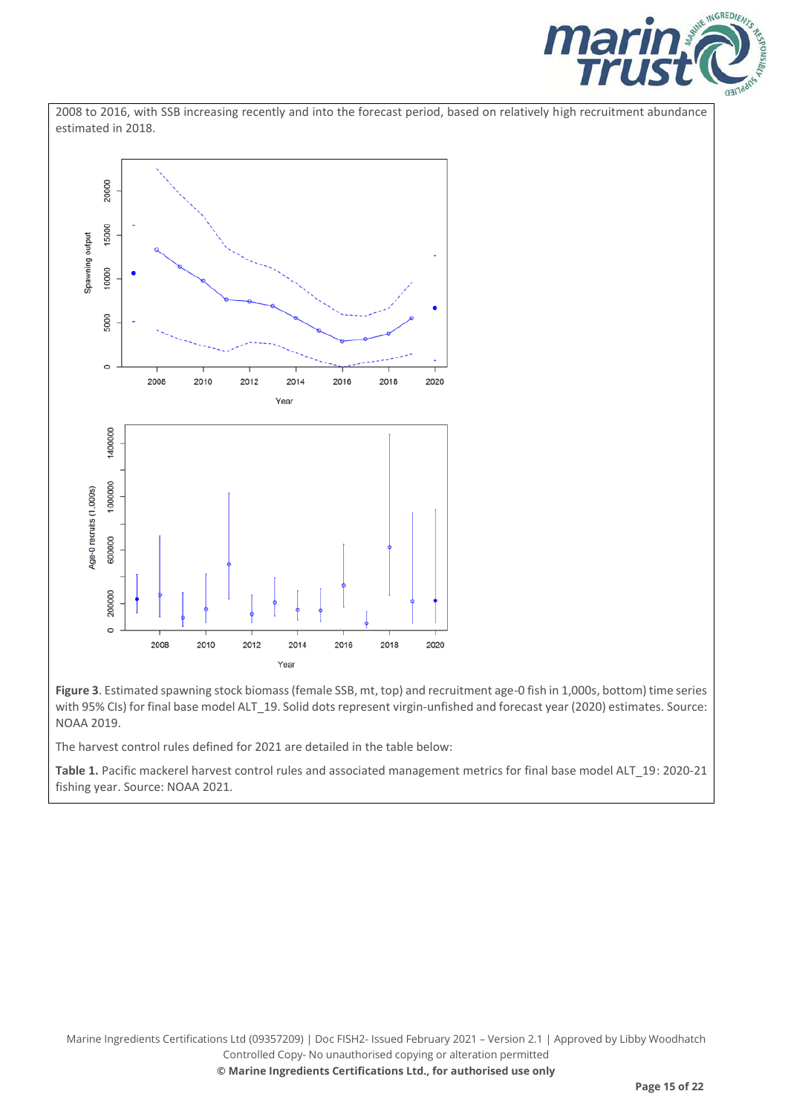





**Figure 3**. Estimated spawning stock biomass (female SSB, mt, top) and recruitment age-0 fish in 1,000s, bottom) time series with 95% CIs) for final base model ALT\_19. Solid dots represent virgin-unfished and forecast year (2020) estimates. Source: NOAA 2019.

The harvest control rules defined for 2021 are detailed in the table below:

**Table 1.** Pacific mackerel harvest control rules and associated management metrics for final base model ALT\_19: 2020-21 fishing year. Source: NOAA 2021.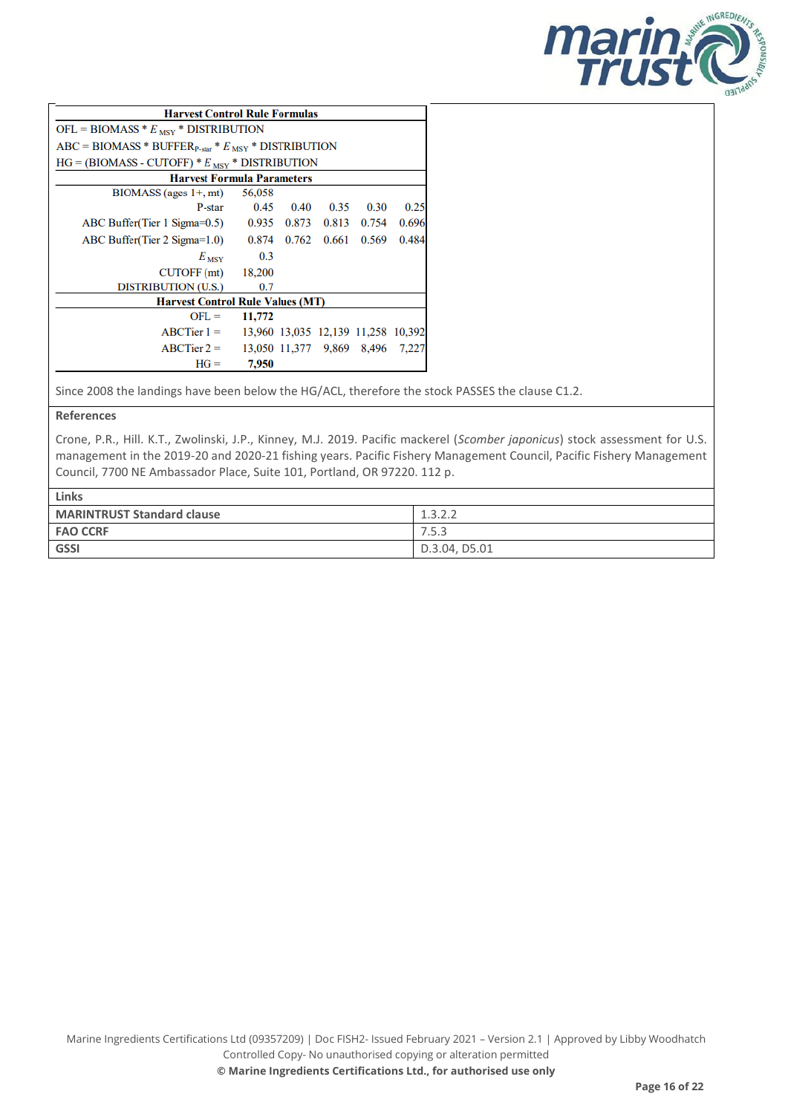

| <b>Harvest Control Rule Formulas</b>                  |             |                                    |       |       |       |
|-------------------------------------------------------|-------------|------------------------------------|-------|-------|-------|
| OFL = BIOMASS $* E_{\text{MSY}} *$ DISTRIBUTION       |             |                                    |       |       |       |
| $ABC = B IOMASS * BUFFERP-star * EMSY * DISTRIBUTION$ |             |                                    |       |       |       |
| $HG = (B IOMASS - CUTOFF) * EMSY * DISTRIBUTION$      |             |                                    |       |       |       |
| <b>Harvest Formula Parameters</b>                     |             |                                    |       |       |       |
| $B IOMASS$ (ages $1+$ , mt)                           | 56,058      |                                    |       |       |       |
| P-star                                                | 0.45        | 0.40                               | 0.35  | 0.30  | 0.25  |
| ABC Buffer(Tier 1 Sigma= $0.5$ )                      | 0.935 0.873 |                                    | 0.813 | 0.754 | 0.696 |
| ABC Buffer(Tier 2 Sigma= $1.0$ )                      | 0.874       | 0.762                              | 0.661 | 0.569 | 0.484 |
| $E_{\text{ MSY}}$                                     | 0.3         |                                    |       |       |       |
| CUTOFF (mt)                                           | 18,200      |                                    |       |       |       |
| <b>DISTRIBUTION (U.S.)</b>                            | 0.7         |                                    |       |       |       |
| <b>Harvest Control Rule Values (MT)</b>               |             |                                    |       |       |       |
| $OFL =$                                               | 11,772      |                                    |       |       |       |
| $ABCTier 1 =$                                         |             | 13,960 13,035 12,139 11,258 10,392 |       |       |       |
| $ABCTier 2 =$                                         |             | 13,050 11,377 9,869 8,496 7,227    |       |       |       |
| $HG =$                                                | 7,950       |                                    |       |       |       |

Since 2008 the landings have been below the HG/ACL, therefore the stock PASSES the clause C1.2.

**References**

Crone, P.R., Hill. K.T., Zwolinski, J.P., Kinney, M.J. 2019. Pacific mackerel (*Scomber japonicus*) stock assessment for U.S. management in the 2019-20 and 2020-21 fishing years. Pacific Fishery Management Council, Pacific Fishery Management Council, 7700 NE Ambassador Place, Suite 101, Portland, OR 97220. 112 p.

| Links                             |                     |  |  |  |
|-----------------------------------|---------------------|--|--|--|
| <b>MARINTRUST Standard clause</b> | 1222<br>J. <i>c</i> |  |  |  |
| <b>FAO CCRF</b>                   | 7.5.3               |  |  |  |
| <b>GSSI</b>                       | D.3.04, D5.01       |  |  |  |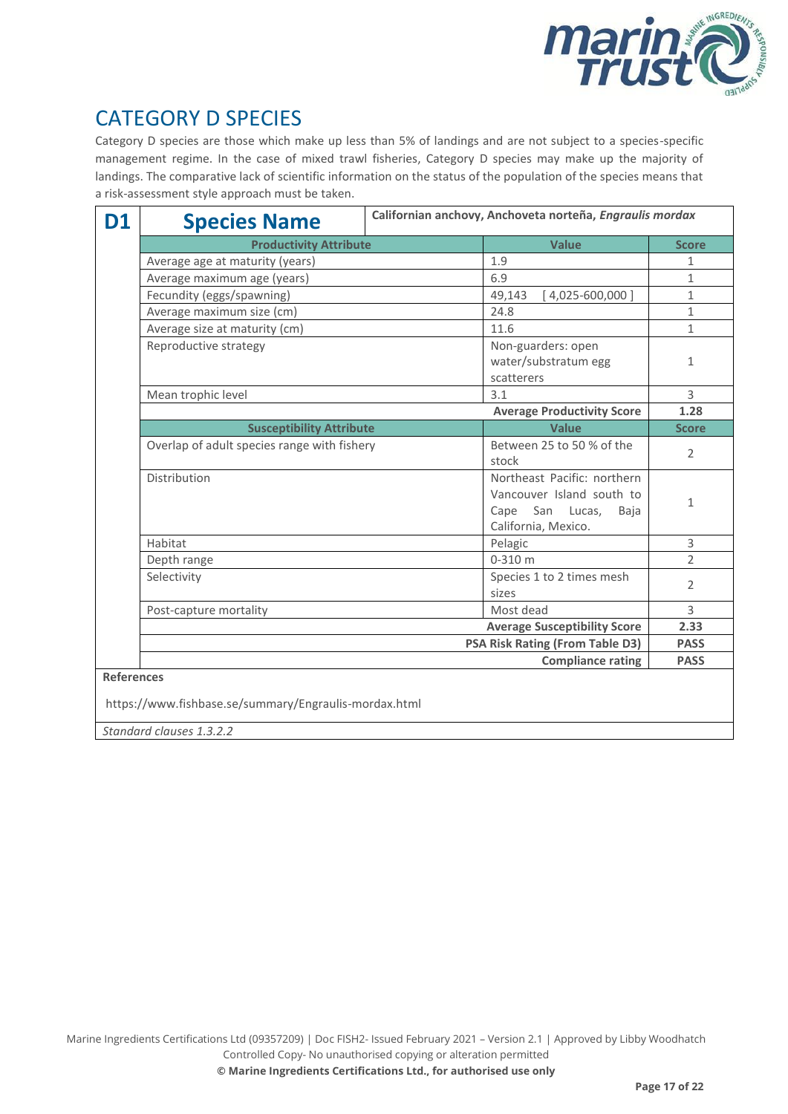

# CATEGORY D SPECIES

Category D species are those which make up less than 5% of landings and are not subject to a species-specific management regime. In the case of mixed trawl fisheries, Category D species may make up the majority of landings. The comparative lack of scientific information on the status of the population of the species means that a risk-assessment style approach must be taken.

| D1                | <b>Species Name</b>                                   | Californian anchovy, Anchoveta norteña, Engraulis mordax |                                                                                                               |                |  |
|-------------------|-------------------------------------------------------|----------------------------------------------------------|---------------------------------------------------------------------------------------------------------------|----------------|--|
|                   | <b>Productivity Attribute</b>                         | <b>Value</b>                                             | <b>Score</b>                                                                                                  |                |  |
|                   | Average age at maturity (years)                       |                                                          | 1.9                                                                                                           | $\mathbf{1}$   |  |
|                   | Average maximum age (years)                           | 6.9                                                      | 1                                                                                                             |                |  |
|                   | Fecundity (eggs/spawning)                             | 49,143<br>$[4,025-600,000]$                              | $\mathbf{1}$                                                                                                  |                |  |
|                   | Average maximum size (cm)                             |                                                          |                                                                                                               |                |  |
|                   | Average size at maturity (cm)                         |                                                          | 11.6                                                                                                          | $\mathbf 1$    |  |
|                   | Reproductive strategy                                 |                                                          | Non-guarders: open<br>water/substratum egg<br>scatterers                                                      | 1              |  |
|                   | Mean trophic level                                    | 3.1                                                      | 3                                                                                                             |                |  |
|                   |                                                       |                                                          | <b>Average Productivity Score</b>                                                                             | 1.28           |  |
|                   | <b>Susceptibility Attribute</b>                       |                                                          | Value                                                                                                         | <b>Score</b>   |  |
|                   | Overlap of adult species range with fishery           |                                                          | Between 25 to 50 % of the<br>stock                                                                            | $\overline{2}$ |  |
|                   | Distribution                                          |                                                          | Northeast Pacific: northern<br>Vancouver Island south to<br>San Lucas,<br>Cape<br>Baja<br>California, Mexico. | $\mathbf{1}$   |  |
|                   | Habitat                                               | Pelagic                                                  | 3                                                                                                             |                |  |
|                   | Depth range                                           |                                                          | $0 - 310$ m                                                                                                   | $\overline{2}$ |  |
|                   | Selectivity                                           |                                                          | Species 1 to 2 times mesh<br>sizes                                                                            | $\overline{2}$ |  |
|                   | Post-capture mortality                                |                                                          | Most dead                                                                                                     | 3              |  |
|                   |                                                       | <b>Average Susceptibility Score</b>                      | 2.33                                                                                                          |                |  |
|                   | <b>PSA Risk Rating (From Table D3)</b>                |                                                          |                                                                                                               | <b>PASS</b>    |  |
|                   |                                                       |                                                          | <b>Compliance rating</b>                                                                                      | <b>PASS</b>    |  |
| <b>References</b> | https://www.fishbase.se/summary/Engraulis-mordax.html |                                                          |                                                                                                               |                |  |

*Standard clauses 1.3.2.2*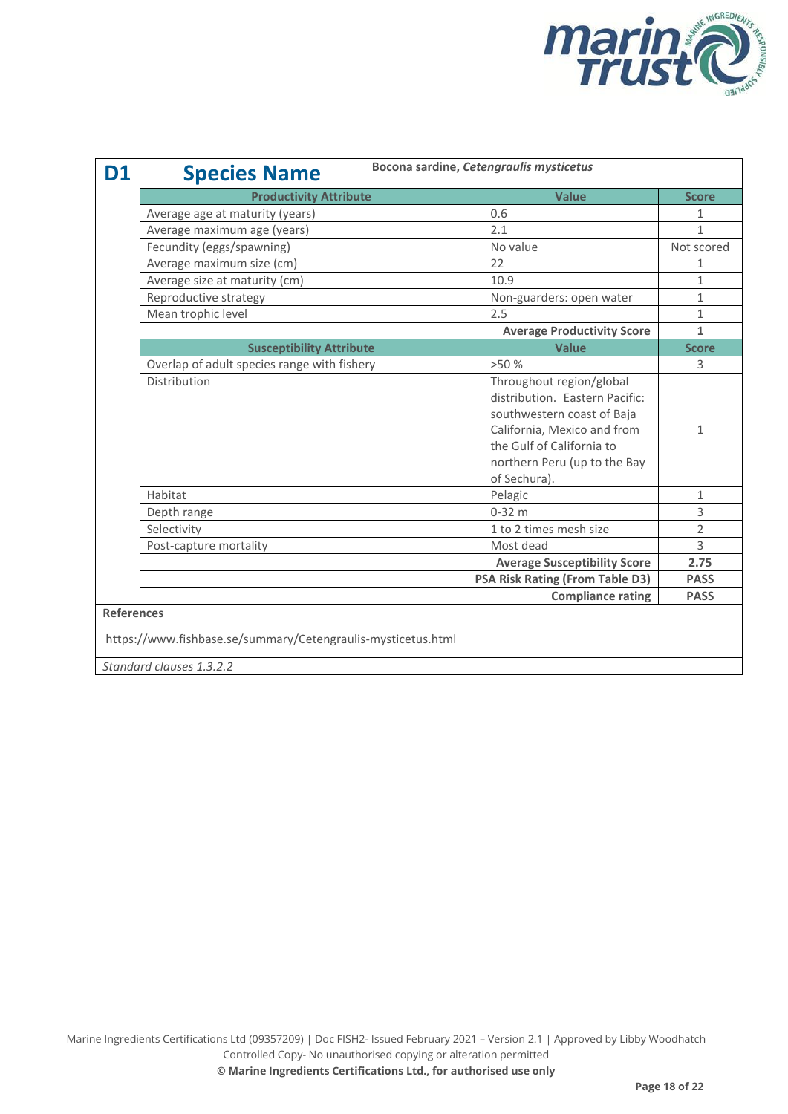

| D1                                                                                                            | <b>Species Name</b>                         | Bocona sardine, Cetengraulis mysticetus |                                                                                                                                                                                                      |                |  |  |
|---------------------------------------------------------------------------------------------------------------|---------------------------------------------|-----------------------------------------|------------------------------------------------------------------------------------------------------------------------------------------------------------------------------------------------------|----------------|--|--|
|                                                                                                               | <b>Productivity Attribute</b>               |                                         | <b>Value</b>                                                                                                                                                                                         | <b>Score</b>   |  |  |
|                                                                                                               | Average age at maturity (years)             |                                         | 0.6                                                                                                                                                                                                  | 1              |  |  |
|                                                                                                               | Average maximum age (years)                 |                                         | 2.1                                                                                                                                                                                                  | $\mathbf{1}$   |  |  |
|                                                                                                               | Fecundity (eggs/spawning)                   |                                         | No value                                                                                                                                                                                             | Not scored     |  |  |
|                                                                                                               | Average maximum size (cm)                   |                                         | 22                                                                                                                                                                                                   | 1              |  |  |
|                                                                                                               | Average size at maturity (cm)               |                                         | 10.9                                                                                                                                                                                                 | $\mathbf{1}$   |  |  |
|                                                                                                               | Reproductive strategy                       |                                         | Non-guarders: open water                                                                                                                                                                             | $\mathbf{1}$   |  |  |
|                                                                                                               | Mean trophic level                          |                                         | 2.5                                                                                                                                                                                                  | 1              |  |  |
|                                                                                                               |                                             |                                         | <b>Average Productivity Score</b>                                                                                                                                                                    | 1              |  |  |
|                                                                                                               | <b>Susceptibility Attribute</b>             |                                         | <b>Value</b>                                                                                                                                                                                         | <b>Score</b>   |  |  |
|                                                                                                               | Overlap of adult species range with fishery |                                         | >50%                                                                                                                                                                                                 | 3              |  |  |
|                                                                                                               | Distribution                                |                                         | Throughout region/global<br>distribution. Eastern Pacific:<br>southwestern coast of Baja<br>California, Mexico and from<br>the Gulf of California to<br>northern Peru (up to the Bay<br>of Sechura). | $\mathbf{1}$   |  |  |
|                                                                                                               | Habitat                                     |                                         | Pelagic                                                                                                                                                                                              | $\mathbf{1}$   |  |  |
|                                                                                                               | Depth range                                 |                                         | $0-32$ m                                                                                                                                                                                             | 3              |  |  |
|                                                                                                               | Selectivity                                 |                                         | 1 to 2 times mesh size                                                                                                                                                                               | $\overline{2}$ |  |  |
|                                                                                                               | Post-capture mortality                      |                                         | Most dead                                                                                                                                                                                            | 3              |  |  |
|                                                                                                               |                                             |                                         | <b>Average Susceptibility Score</b>                                                                                                                                                                  | 2.75           |  |  |
|                                                                                                               |                                             |                                         | <b>PSA Risk Rating (From Table D3)</b>                                                                                                                                                               | <b>PASS</b>    |  |  |
| <b>Compliance rating</b>                                                                                      |                                             |                                         |                                                                                                                                                                                                      |                |  |  |
| <b>References</b><br>https://www.fishbase.se/summary/Cetengraulis-mysticetus.html<br>Standard clauses 1.3.2.2 |                                             |                                         |                                                                                                                                                                                                      |                |  |  |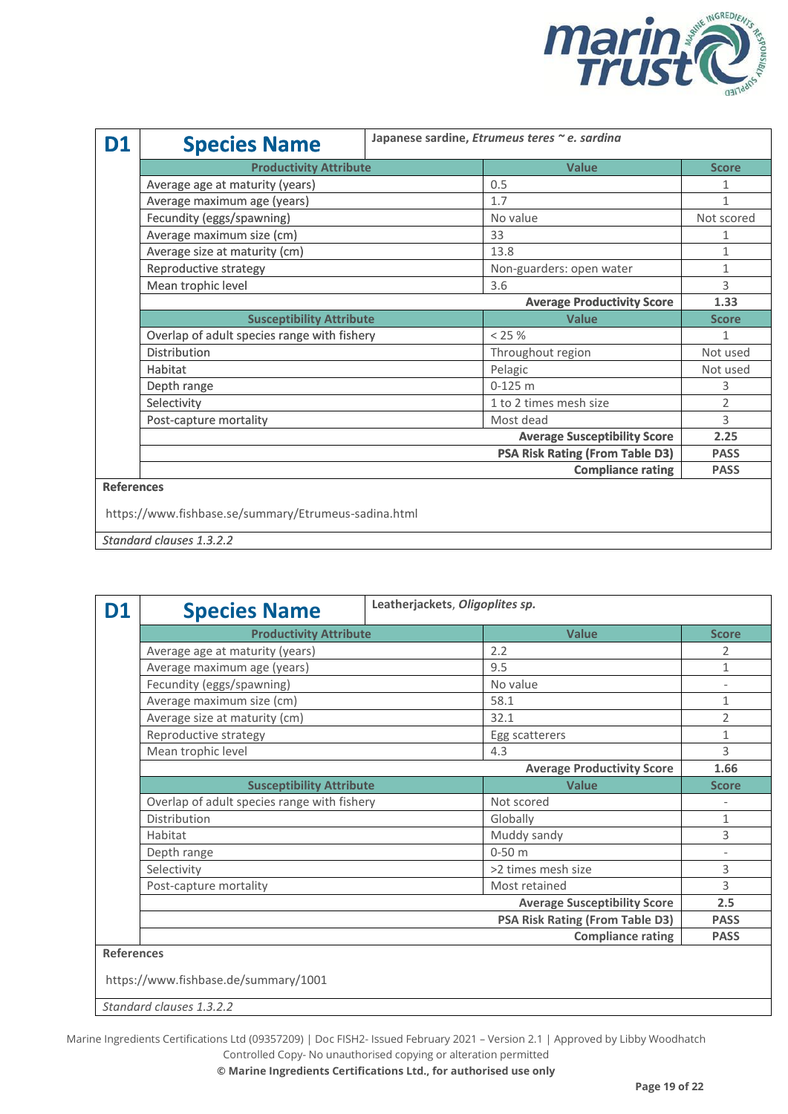

| D1 | <b>Species Name</b>                                  | Japanese sardine, Etrumeus teres ~ e. sardina |                                        |              |  |  |
|----|------------------------------------------------------|-----------------------------------------------|----------------------------------------|--------------|--|--|
|    | <b>Productivity Attribute</b>                        |                                               | <b>Value</b>                           | <b>Score</b> |  |  |
|    | Average age at maturity (years)                      |                                               | 0.5                                    | 1            |  |  |
|    | Average maximum age (years)                          |                                               | 1.7                                    | 1            |  |  |
|    | Fecundity (eggs/spawning)                            |                                               | No value                               | Not scored   |  |  |
|    | Average maximum size (cm)                            |                                               | 33                                     | 1            |  |  |
|    | Average size at maturity (cm)                        |                                               | 13.8                                   | 1            |  |  |
|    | Reproductive strategy                                |                                               | Non-guarders: open water               | 1            |  |  |
|    | Mean trophic level                                   |                                               | 3.6                                    | 3            |  |  |
|    |                                                      |                                               | <b>Average Productivity Score</b>      | 1.33         |  |  |
|    | <b>Susceptibility Attribute</b>                      |                                               | <b>Value</b>                           | <b>Score</b> |  |  |
|    | Overlap of adult species range with fishery          |                                               | $< 25 \%$                              |              |  |  |
|    | <b>Distribution</b>                                  |                                               | Throughout region                      | Not used     |  |  |
|    | Habitat                                              |                                               | Pelagic                                | Not used     |  |  |
|    | Depth range                                          |                                               | $0-125$ m                              | 3            |  |  |
|    | Selectivity                                          |                                               | 1 to 2 times mesh size                 | 2            |  |  |
|    | Post-capture mortality                               |                                               | Most dead                              | 3            |  |  |
|    |                                                      |                                               | <b>Average Susceptibility Score</b>    | 2.25         |  |  |
|    |                                                      |                                               | <b>PSA Risk Rating (From Table D3)</b> | <b>PASS</b>  |  |  |
|    |                                                      |                                               | <b>Compliance rating</b>               | <b>PASS</b>  |  |  |
|    | <b>References</b>                                    |                                               |                                        |              |  |  |
|    | https://www.fishbase.se/summary/Etrumeus-sadina.html |                                               |                                        |              |  |  |

*Standard clauses 1.3.2.2*

| D1                                                        | <b>Species Name</b>                         | Leatherjackets, Oligoplites sp.        |                                     |                          |  |
|-----------------------------------------------------------|---------------------------------------------|----------------------------------------|-------------------------------------|--------------------------|--|
|                                                           | <b>Productivity Attribute</b>               |                                        | <b>Value</b>                        | <b>Score</b>             |  |
|                                                           | Average age at maturity (years)             |                                        | 2.2                                 | 2                        |  |
|                                                           | Average maximum age (years)                 | 9.5                                    | $\mathbf{1}$                        |                          |  |
|                                                           | Fecundity (eggs/spawning)                   |                                        | No value                            |                          |  |
|                                                           | Average maximum size (cm)                   |                                        | 58.1                                | $\mathbf{1}$             |  |
|                                                           | Average size at maturity (cm)               |                                        | 32.1                                | $\overline{2}$           |  |
|                                                           | Reproductive strategy                       |                                        | Egg scatterers                      | $\mathbf{1}$             |  |
|                                                           | Mean trophic level                          |                                        | 4.3                                 | 3                        |  |
|                                                           |                                             |                                        | <b>Average Productivity Score</b>   | 1.66                     |  |
|                                                           | <b>Susceptibility Attribute</b>             |                                        | <b>Value</b>                        | <b>Score</b>             |  |
|                                                           | Overlap of adult species range with fishery | Not scored                             |                                     |                          |  |
|                                                           | Distribution                                | Globally                               | 1                                   |                          |  |
|                                                           | Habitat                                     |                                        | Muddy sandy                         | 3                        |  |
|                                                           | Depth range                                 |                                        | $0-50$ m                            | $\overline{\phantom{a}}$ |  |
|                                                           | Selectivity                                 |                                        | >2 times mesh size                  | 3                        |  |
|                                                           | Post-capture mortality                      |                                        | Most retained                       | 3                        |  |
|                                                           |                                             |                                        | <b>Average Susceptibility Score</b> | 2.5                      |  |
|                                                           |                                             | <b>PSA Risk Rating (From Table D3)</b> | <b>PASS</b>                         |                          |  |
|                                                           | <b>Compliance rating</b>                    |                                        |                                     |                          |  |
| <b>References</b><br>https://www.fishbase.de/summary/1001 |                                             |                                        |                                     |                          |  |

*Standard clauses 1.3.2.2*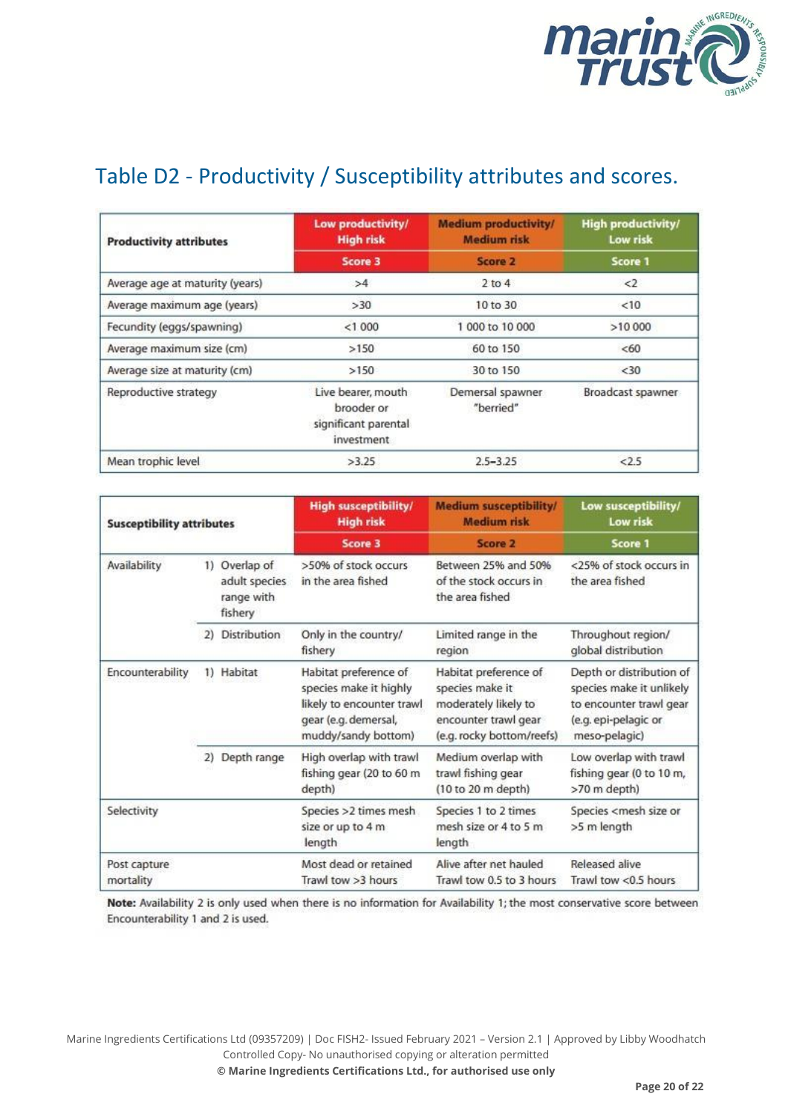

# Table D2 - Productivity / Susceptibility attributes and scores.

| <b>Productivity attributes</b>  | Low productivity/<br><b>High risk</b>                                  | <b>Medium productivity/</b><br><b>Medium risk</b> | <b>High productivity/</b><br>Low risk |
|---------------------------------|------------------------------------------------------------------------|---------------------------------------------------|---------------------------------------|
|                                 | Score 3                                                                | Score 2                                           | Score 1                               |
| Average age at maturity (years) | >4                                                                     | $2$ to $4$                                        | <2                                    |
| Average maximum age (years)     | >30                                                                    | 10 to 30                                          | <10                                   |
| Fecundity (eggs/spawning)       | < 1000                                                                 | 1 000 to 10 000                                   | >10 000                               |
| Average maximum size (cm)       | >150                                                                   | 60 to 150                                         | <60                                   |
| Average size at maturity (cm)   | >150                                                                   | 30 to 150                                         | $30$                                  |
| Reproductive strategy           | Live bearer, mouth<br>brooder or<br>significant parental<br>investment | Demersal spawner<br>"berried"                     | Broadcast spawner                     |
| Mean trophic level              | >3.25                                                                  | $2.5 - 3.25$                                      | 2.5                                   |

| <b>Susceptibility attributes</b> |    | <b>High susceptibility/</b><br><b>High risk</b>         | <b>Medium susceptibility/</b><br><b>Medium risk</b>                                                                         | Low susceptibility/<br>Low risk                                                                                       |                                                                                                                          |  |
|----------------------------------|----|---------------------------------------------------------|-----------------------------------------------------------------------------------------------------------------------------|-----------------------------------------------------------------------------------------------------------------------|--------------------------------------------------------------------------------------------------------------------------|--|
|                                  |    |                                                         | Score 3                                                                                                                     | Score 2                                                                                                               | Score 1                                                                                                                  |  |
| Availability                     |    | 1) Overlap of<br>adult species<br>range with<br>fishery | >50% of stock occurs<br>in the area fished                                                                                  | Between 25% and 50%<br>of the stock occurs in<br>the area fished                                                      | <25% of stock occurs in<br>the area fished                                                                               |  |
|                                  | 2) | <b>Distribution</b>                                     | Only in the country/<br>fishery                                                                                             | Limited range in the<br>region                                                                                        | Throughout region/<br>global distribution                                                                                |  |
| Encounterability                 | 1) | Habitat                                                 | Habitat preference of<br>species make it highly<br>likely to encounter trawl<br>gear (e.g. demersal,<br>muddy/sandy bottom) | Habitat preference of<br>species make it<br>moderately likely to<br>encounter trawl gear<br>(e.g. rocky bottom/reefs) | Depth or distribution of<br>species make it unlikely<br>to encounter trawl gear<br>(e.g. epi-pelagic or<br>meso-pelagic) |  |
|                                  | 2) | Depth range                                             | High overlap with trawl<br>fishing gear (20 to 60 m<br>depth)                                                               | Medium overlap with<br>trawl fishing gear<br>(10 to 20 m depth)                                                       | Low overlap with trawl<br>fishing gear (0 to 10 m,<br>>70 m depth)                                                       |  |
| Selectivity                      |    |                                                         | Species >2 times mesh<br>size or up to 4 m<br>length                                                                        | Species 1 to 2 times<br>mesh size or 4 to 5 m<br>length                                                               | Species <mesh or<br="" size="">&gt;5 m length</mesh>                                                                     |  |
| Post capture<br>mortality        |    |                                                         | Most dead or retained<br>Trawl tow >3 hours                                                                                 | Alive after net hauled<br>Trawl tow 0.5 to 3 hours                                                                    | Released alive<br>Trawl tow <0.5 hours                                                                                   |  |

Note: Availability 2 is only used when there is no information for Availability 1; the most conservative score between Encounterability 1 and 2 is used.

Marine Ingredients Certifications Ltd (09357209) | Doc FISH2- Issued February 2021 – Version 2.1 | Approved by Libby Woodhatch Controlled Copy- No unauthorised copying or alteration permitted **© Marine Ingredients Certifications Ltd., for authorised use only**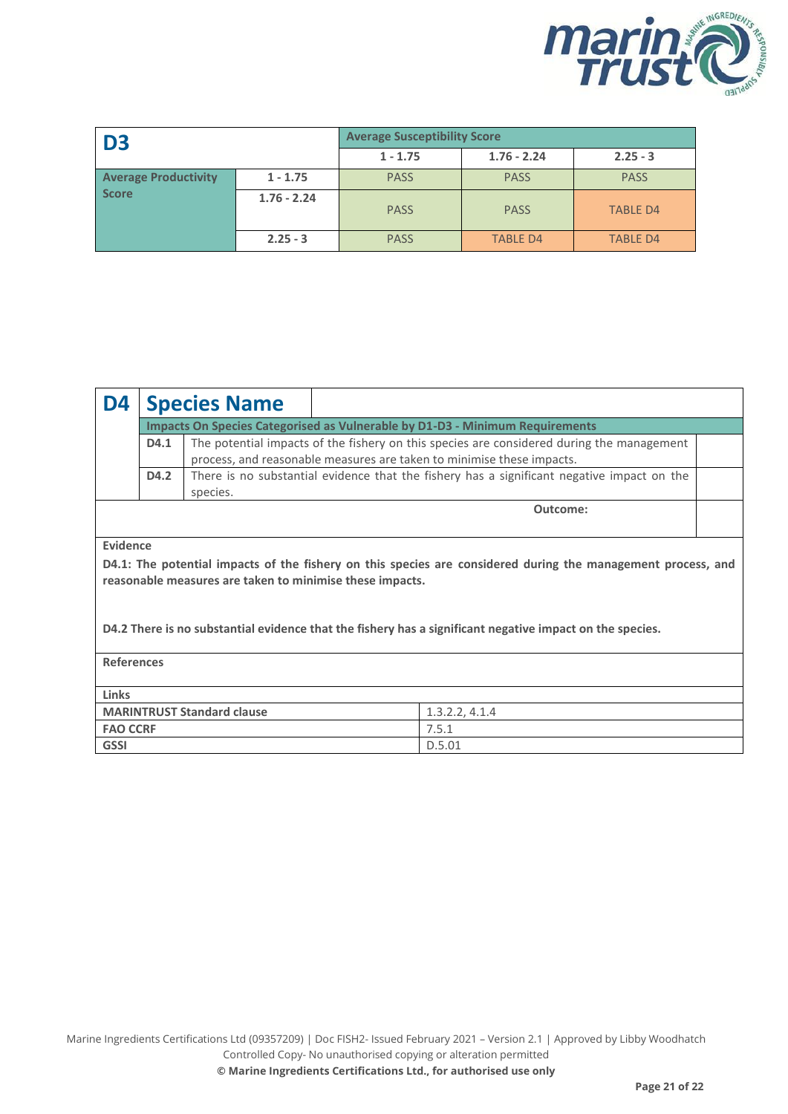

| D <sub>3</sub>              |               | <b>Average Susceptibility Score</b> |                 |                 |
|-----------------------------|---------------|-------------------------------------|-----------------|-----------------|
|                             |               | $1 - 1.75$                          | $1.76 - 2.24$   | $2.25 - 3$      |
| <b>Average Productivity</b> | $1 - 1.75$    | <b>PASS</b>                         | <b>PASS</b>     | <b>PASS</b>     |
| <b>Score</b>                | $1.76 - 2.24$ | <b>PASS</b>                         | <b>PASS</b>     | <b>TABLE D4</b> |
|                             | $2.25 - 3$    | <b>PASS</b>                         | <b>TABLE D4</b> | <b>TABLE D4</b> |

| D4                                                                                                                                                                       |                                                                                     | <b>Species Name</b>                                                                                    |                |  |  |  |  |
|--------------------------------------------------------------------------------------------------------------------------------------------------------------------------|-------------------------------------------------------------------------------------|--------------------------------------------------------------------------------------------------------|----------------|--|--|--|--|
|                                                                                                                                                                          | <b>Impacts On Species Categorised as Vulnerable by D1-D3 - Minimum Requirements</b> |                                                                                                        |                |  |  |  |  |
|                                                                                                                                                                          | D4.1                                                                                | The potential impacts of the fishery on this species are considered during the management              |                |  |  |  |  |
|                                                                                                                                                                          |                                                                                     | process, and reasonable measures are taken to minimise these impacts.                                  |                |  |  |  |  |
|                                                                                                                                                                          | D4.2                                                                                | There is no substantial evidence that the fishery has a significant negative impact on the<br>species. |                |  |  |  |  |
| Outcome:                                                                                                                                                                 |                                                                                     |                                                                                                        |                |  |  |  |  |
|                                                                                                                                                                          |                                                                                     |                                                                                                        |                |  |  |  |  |
| Evidence                                                                                                                                                                 |                                                                                     |                                                                                                        |                |  |  |  |  |
| D4.1: The potential impacts of the fishery on this species are considered during the management process, and<br>reasonable measures are taken to minimise these impacts. |                                                                                     |                                                                                                        |                |  |  |  |  |
| D4.2 There is no substantial evidence that the fishery has a significant negative impact on the species.                                                                 |                                                                                     |                                                                                                        |                |  |  |  |  |
| <b>References</b>                                                                                                                                                        |                                                                                     |                                                                                                        |                |  |  |  |  |
| Links                                                                                                                                                                    |                                                                                     |                                                                                                        |                |  |  |  |  |
|                                                                                                                                                                          |                                                                                     | <b>MARINTRUST Standard clause</b>                                                                      | 1.3.2.2, 4.1.4 |  |  |  |  |
| <b>FAO CCRF</b>                                                                                                                                                          |                                                                                     |                                                                                                        | 7.5.1          |  |  |  |  |
| <b>GSSI</b>                                                                                                                                                              |                                                                                     |                                                                                                        | D.5.01         |  |  |  |  |